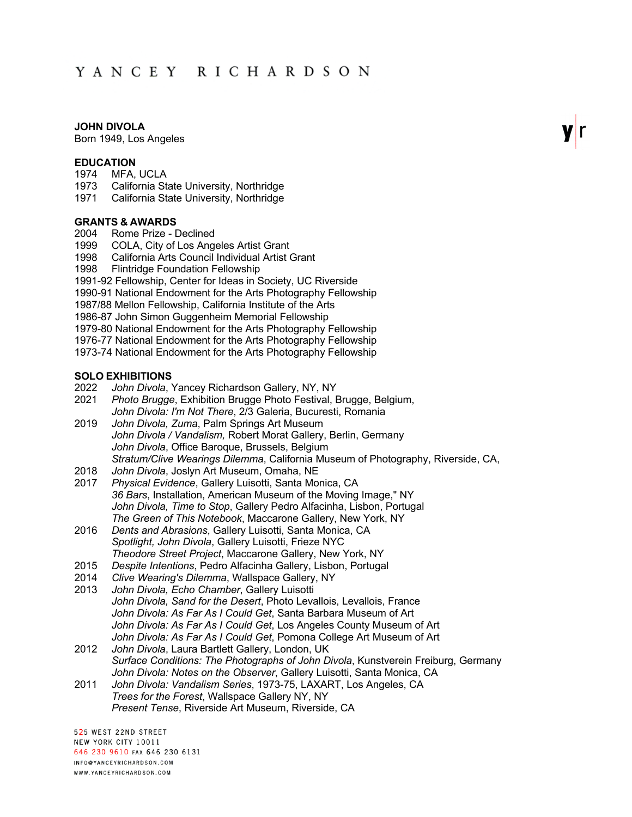#### **JOHN DIVOLA**

Born 1949, Los Angeles

#### **EDUCATION**

- 1974 MFA, UCLA
- 1973 California State University, Northridge
- 1971 California State University, Northridge

#### **GRANTS & AWARDS**

- 2004 Rome Prize Declined
- 1999 COLA, City of Los Angeles Artist Grant
- 1998 California Arts Council Individual Artist Grant
- 1998 Flintridge Foundation Fellowship

1991-92 Fellowship, Center for Ideas in Society, UC Riverside

- 1990-91 National Endowment for the Arts Photography Fellowship
- 1987/88 Mellon Fellowship, California Institute of the Arts
- 1986-87 John Simon Guggenheim Memorial Fellowship
- 1979-80 National Endowment for the Arts Photography Fellowship
- 1976-77 National Endowment for the Arts Photography Fellowship
- 1973-74 National Endowment for the Arts Photography Fellowship

#### **SOLO EXHIBITIONS**

- 2022 *John Divola*, Yancey Richardson Gallery, NY, NY
- 2021 *Photo Brugge*, Exhibition Brugge Photo Festival, Brugge, Belgium, *John Divola: I'm Not There*, 2/3 Galeria, Bucuresti, Romania
- 2019 *John Divola, Zuma*, Palm Springs Art Museum *John Divola / Vandalism,* Robert Morat Gallery, Berlin, Germany *John Divola*, Office Baroque, Brussels, Belgium *Stratum/Clive Wearings Dilemma*, California Museum of Photography, Riverside, CA,
- 2018 *John Divola*, Joslyn Art Museum, Omaha, NE
- 2017 *Physical Evidence*, Gallery Luisotti, Santa Monica, CA *36 Bars*, Installation, American Museum of the Moving Image," NY *John Divola, Time to Stop*, Gallery Pedro Alfacinha, Lisbon, Portugal *The Green of This Notebook*, Maccarone Gallery, New York, NY
- 2016 *Dents and Abrasions*, Gallery Luisotti, Santa Monica, CA *Spotlight, John Divola*, Gallery Luisotti, Frieze NYC *Theodore Street Project*, Maccarone Gallery, New York, NY
- 2015 *Despite Intentions*, Pedro Alfacinha Gallery, Lisbon, Portugal
- 2014 *Clive Wearing's Dilemma*, Wallspace Gallery, NY
- 2013 *John Divola, Echo Chamber*, Gallery Luisotti *John Divola, Sand for the Desert*, Photo Levallois, Levallois, France *John Divola: As Far As I Could Get*, Santa Barbara Museum of Art *John Divola: As Far As I Could Get*, Los Angeles County Museum of Art *John Divola: As Far As I Could Get*, Pomona College Art Museum of Art
- 2012 *John Divola*, Laura Bartlett Gallery, London, UK *Surface Conditions: The Photographs of John Divola*, Kunstverein Freiburg, Germany *John Divola: Notes on the Observer*, Gallery Luisotti, Santa Monica, CA
- 2011 *John Divola: Vandalism Series*, 1973-75, LAXART, Los Angeles, CA *Trees for the Forest*, Wallspace Gallery NY, NY *Present Tense*, Riverside Art Museum, Riverside, CA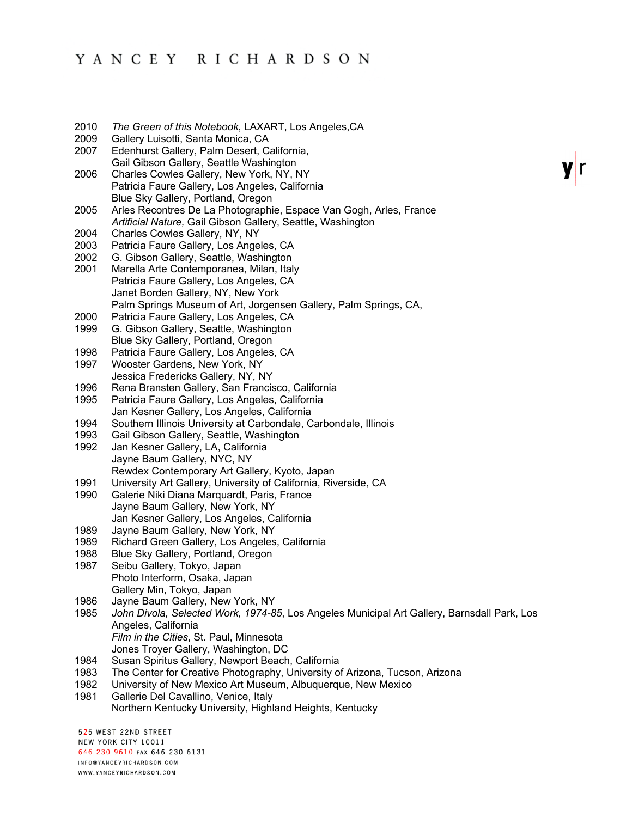- 2010 *The Green of this Notebook*, LAXART, Los Angeles,CA
- 2009 Gallery Luisotti, Santa Monica, CA
- 2007 Edenhurst Gallery, Palm Desert, California, Gail Gibson Gallery, Seattle Washington
- 2006 Charles Cowles Gallery, New York, NY, NY Patricia Faure Gallery, Los Angeles, California Blue Sky Gallery, Portland, Oregon
- 2005 Arles Recontres De La Photographie, Espace Van Gogh, Arles, France *Artificial Nature,* Gail Gibson Gallery, Seattle, Washington
- 2004 Charles Cowles Gallery, NY, NY
- 2003 Patricia Faure Gallery, Los Angeles, CA
- 2002 G. Gibson Gallery, Seattle, Washington
- 2001 Marella Arte Contemporanea, Milan, Italy Patricia Faure Gallery, Los Angeles, CA Janet Borden Gallery, NY, New York Palm Springs Museum of Art, Jorgensen Gallery, Palm Springs, CA,
- 2000 Patricia Faure Gallery, Los Angeles, CA
- 1999 G. Gibson Gallery, Seattle, Washington Blue Sky Gallery, Portland, Oregon
- 1998 Patricia Faure Gallery, Los Angeles, CA
- 1997 Wooster Gardens, New York, NY Jessica Fredericks Gallery, NY, NY
- 1996 Rena Bransten Gallery, San Francisco, California
- 1995 Patricia Faure Gallery, Los Angeles, California Jan Kesner Gallery, Los Angeles, California
- 1994 Southern Illinois University at Carbondale, Carbondale, Illinois
- 1993 Gail Gibson Gallery, Seattle, Washington
- 1992 Jan Kesner Gallery, LA, California Jayne Baum Gallery, NYC, NY Rewdex Contemporary Art Gallery, Kyoto, Japan
- 1991 University Art Gallery, University of California, Riverside, CA
- 1990 Galerie Niki Diana Marquardt, Paris, France Jayne Baum Gallery, New York, NY Jan Kesner Gallery, Los Angeles, California
- 1989 Jayne Baum Gallery, New York, NY
- 1989 Richard Green Gallery, Los Angeles, California
- 1988 Blue Sky Gallery, Portland, Oregon
- 1987 Seibu Gallery, Tokyo, Japan Photo Interform, Osaka, Japan Gallery Min, Tokyo, Japan
- 1986 Jayne Baum Gallery, New York, NY
- 1985 *John Divola, Selected Work, 1974-85*, Los Angeles Municipal Art Gallery, Barnsdall Park, Los Angeles, California *Film in the Cities*, St. Paul, Minnesota
- Jones Troyer Gallery, Washington, DC
- 1984 Susan Spiritus Gallery, Newport Beach, California
- 1983 The Center for Creative Photography, University of Arizona, Tucson, Arizona
- 1982 University of New Mexico Art Museum, Albuquerque, New Mexico
- 1981 Gallerie Del Cavallino, Venice, Italy Northern Kentucky University, Highland Heights, Kentucky

525 WEST 22ND STREET

NEW YORK CITY 10011

646 230 9610 FAX 646 230 6131

INFO@YANCEYRICHARDSON.COM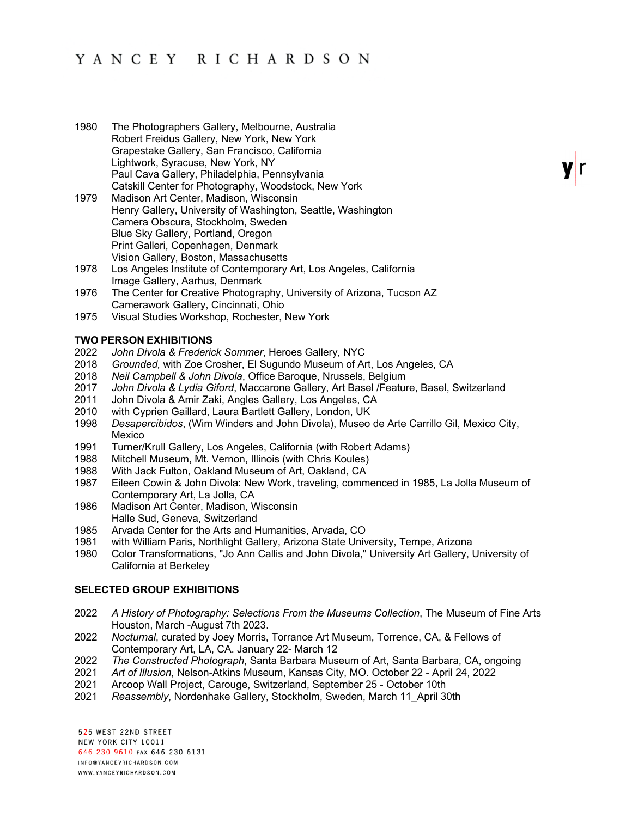- 1980 The Photographers Gallery, Melbourne, Australia Robert Freidus Gallery, New York, New York Grapestake Gallery, San Francisco, California Lightwork, Syracuse, New York, NY Paul Cava Gallery, Philadelphia, Pennsylvania Catskill Center for Photography, Woodstock, New York
- 1979 Madison Art Center, Madison, Wisconsin Henry Gallery, University of Washington, Seattle, Washington Camera Obscura, Stockholm, Sweden Blue Sky Gallery, Portland, Oregon Print Galleri, Copenhagen, Denmark Vision Gallery, Boston, Massachusetts
- 1978 Los Angeles Institute of Contemporary Art, Los Angeles, California Image Gallery, Aarhus, Denmark
- 1976 The Center for Creative Photography, University of Arizona, Tucson AZ Camerawork Gallery, Cincinnati, Ohio
- 1975 Visual Studies Workshop, Rochester, New York

#### **TWO PERSON EXHIBITIONS**

- 2022 *John Divola & Frederick Sommer*, Heroes Gallery, NYC
- 2018 *Grounded,* with Zoe Crosher, El Sugundo Museum of Art, Los Angeles, CA
- 2018 *Neil Campbell & John Divola*, Office Baroque, Nrussels, Belgium
- 2017 *John Divola & Lydia Giford*, Maccarone Gallery, Art Basel /Feature, Basel, Switzerland
- 2011 John Divola & Amir Zaki, Angles Gallery, Los Angeles, CA
- 2010 with Cyprien Gaillard, Laura Bartlett Gallery, London, UK
- 1998 *Desapercibidos*, (Wim Winders and John Divola), Museo de Arte Carrillo Gil, Mexico City, Mexico
- 1991 Turner/Krull Gallery, Los Angeles, California (with Robert Adams)
- 1988 Mitchell Museum, Mt. Vernon, Illinois (with Chris Koules)
- 1988 With Jack Fulton, Oakland Museum of Art, Oakland, CA
- 1987 Eileen Cowin & John Divola: New Work, traveling, commenced in 1985, La Jolla Museum of Contemporary Art, La Jolla, CA
- 1986 Madison Art Center, Madison, Wisconsin Halle Sud, Geneva, Switzerland
- 1985 Arvada Center for the Arts and Humanities, Arvada, CO
- 1981 with William Paris, Northlight Gallery, Arizona State University, Tempe, Arizona
- 1980 Color Transformations, "Jo Ann Callis and John Divola," University Art Gallery, University of California at Berkeley

#### **SELECTED GROUP EXHIBITIONS**

- 2022 *A History of Photography: Selections From the Museums Collection*, The Museum of Fine Arts Houston, March -August 7th 2023.
- 2022 *Nocturnal*, curated by Joey Morris, Torrance Art Museum, Torrence, CA, & Fellows of Contemporary Art, LA, CA. January 22- March 12
- 2022 *The Constructed Photograph*, Santa Barbara Museum of Art, Santa Barbara, CA, ongoing
- 2021 *Art of Illusion*, Nelson-Atkins Museum, Kansas City, MO. October 22 April 24, 2022
- 2021 Arcoop Wall Project, Carouge, Switzerland, September 25 October 10th
- 2021 *Reassembly*, Nordenhake Gallery, Stockholm, Sweden, March 11\_April 30th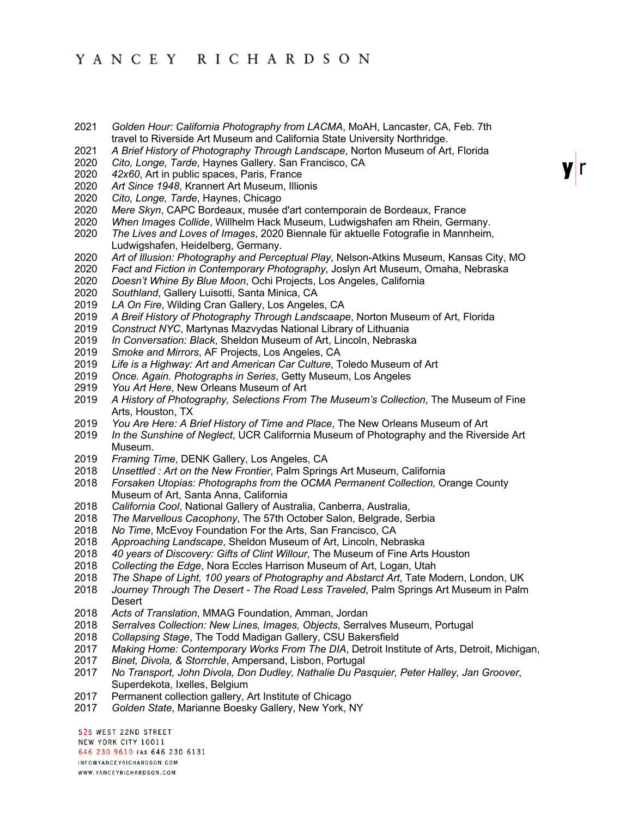- *Golden Hour: California Photography from LACMA*, MoAH, Lancaster, CA, Feb. 7th travel to Riverside Art Museum and California State University Northridge.
- *A Brief History of Photography Through Landscape*, Norton Museum of Art, Florida
- *Cito, Longe, Tarde*, Haynes Gallery. San Francisco, CA
- *42x60*, Art in public spaces, Paris, France
- *Art Since 1948*, Krannert Art Museum, Illionis
- *Cito, Longe, Tarde*, Haynes, Chicago
- *Mere Skyn*, CAPC Bordeaux, musée d'art contemporain de Bordeaux, France
- 
- *When Images Collide*, Willhelm Hack Museum, Ludwigshafen am Rhein, Germany. *The Lives and Loves of Images*, 2020 Biennale für aktuelle Fotografie in Mannheim, Ludwigshafen, Heidelberg, Germany.
- *Art of Illusion: Photography and Perceptual Play*, Nelson-Atkins Museum, Kansas City, MO

r

- *Fact and Fiction in Contemporary Photography*, Joslyn Art Museum, Omaha, Nebraska
- *Doesn't Whine By Blue Moon*, Ochi Projects, Los Angeles, California
- *Southland*, Gallery Luisotti, Santa Minica, CA
- *LA On Fire*, Wilding Cran Gallery, Los Angeles, CA
- *A Breif History of Photography Through Landscaape*, Norton Museum of Art, Florida
- *Construct NYC*, Martynas Mazvydas National Library of Lithuania
- In Conversation: Black, Sheldon Museum of Art, Lincoln, Nebraska
- *Smoke and Mirrors*, AF Projects, Los Angeles, CA
- *Life is a Highway: Art and American Car Culture*, Toledo Museum of Art
- *Once. Again. Photographs in Series*, Getty Museum, Los Angeles
- *You Art Here*, New Orleans Museum of Art
- *A History of Photography, Selections From The Museum's Collection*, The Museum of Fine Arts, Houston, TX
- *You Are Here: A Brief History of Time and Place*, The New Orleans Museum of Art
- *In the Sunshine of Neglect*, UCR Califorrnia Museum of Photography and the Riverside Art Museum.
- *Framing Time*, DENK Gallery, Los Angeles, CA
- *Unsettled : Art on the New Frontier*, Palm Springs Art Museum, California
- *Forsaken Utopias: Photographs from the OCMA Permanent Collection,* Orange County Museum of Art, Santa Anna, California
- *California Cool*, National Gallery of Australia, Canberra, Australia,
- *The Marvellous Cacophony*, The 57th October Salon, Belgrade, Serbia
- *No Time*, McEvoy Foundation For the Arts, San Francisco, CA
- *Approaching Landscape*, Sheldon Museum of Art, Lincoln, Nebraska
- *40 years of Discovery: Gifts of Clint Willour*, The Museum of Fine Arts Houston
- *Collecting the Edge*, Nora Eccles Harrison Museum of Art, Logan, Utah
- *The Shape of Light, 100 years of Photography and Abstarct Art*, Tate Modern, London, UK
- *Journey Through The Desert - The Road Less Traveled*, Palm Springs Art Museum in Palm **Desert**
- *Acts of Translation*, MMAG Foundation, Amman, Jordan
- *Serralves Collection: New Lines, Images, Objects*, Serralves Museum, Portugal
- *Collapsing Stage*, The Todd Madigan Gallery, CSU Bakersfield
- *Making Home: Contemporary Works From The DIA*, Detroit Institute of Arts, Detroit, Michigan,
- *Binet, Divola, & Storrchle*, Ampersand, Lisbon, Portugal
- *No Transport, John Divola, Don Dudley, Nathalie Du Pasquier, Peter Halley, Jan Groover*, Superdekota, Ixelles, Belgium
- 2017 Permanent collection gallery, Art Institute of Chicago
- *Golden State*, Marianne Boesky Gallery, New York, NY

525 WEST 22ND STREET

NEW YORK CITY 10011

646 230 9610 FAX 646 230 6131

INFO@YANCEYRICHARDSON.COM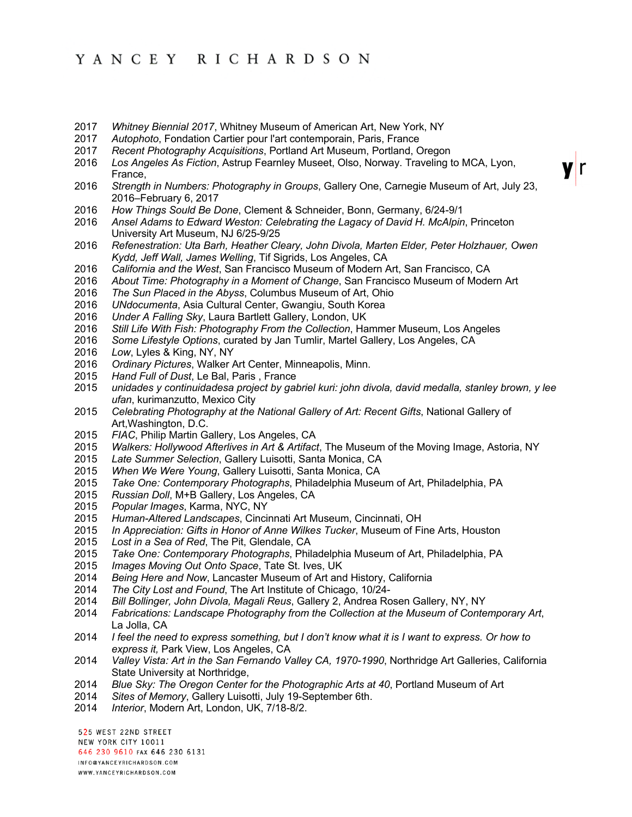- *Whitney Biennial 2017*, Whitney Museum of American Art, New York, NY
- *Autophoto*, Fondation Cartier pour l'art contemporain, Paris, France
- *Recent Photography Acquisitions*, Portland Art Museum, Portland, Oregon
- *Los Angeles As Fiction*, Astrup Fearnley Museet, Olso, Norway. Traveling to MCA, Lyon, France,
- *Strength in Numbers: Photography in Groups*, Gallery One, Carnegie Museum of Art, July 23, 2016–February 6, 2017

r

- *How Things Sould Be Done*, Clement & Schneider, Bonn, Germany, 6/24-9/1
- *Ansel Adams to Edward Weston: Celebrating the Lagacy of David H. McAlpin*, Princeton University Art Museum, NJ 6/25-9/25
- *Refenestration: Uta Barh, Heather Cleary, John Divola, Marten Elder, Peter Holzhauer, Owen Kydd, Jeff Wall, James Welling*, Tif Sigrids, Los Angeles, CA
- *California and the West*, San Francisco Museum of Modern Art, San Francisco, CA
- *About Time: Photography in a Moment of Change*, San Francisco Museum of Modern Art
- *The Sun Placed in the Abyss*, Columbus Museum of Art, Ohio
- *UNdocumenta*, Asia Cultural Center, Gwangiu, South Korea
- *Under A Falling Sky*, Laura Bartlett Gallery, London, UK
- *Still Life With Fish: Photography From the Collection*, Hammer Museum, Los Angeles
- *Some Lifestyle Options*, curated by Jan Tumlir, Martel Gallery, Los Angeles, CA
- *Low*, Lyles & King, NY, NY
- *Ordinary Pictures*, Walker Art Center, Minneapolis, Minn.
- *Hand Full of Dust*, Le Bal, Paris , France
- *unidades y continuidadesa project by gabriel kuri: john divola, david medalla, stanley brown, y lee ufan*, kurimanzutto, Mexico City
- *Celebrating Photography at the National Gallery of Art: Recent Gifts*, National Gallery of Art,Washington, D.C.
- *FIAC*, Philip Martin Gallery, Los Angeles, CA
- *Walkers: Hollywood Afterlives in Art & Artifact*, The Museum of the Moving Image, Astoria, NY
- Late Summer Selection, Gallery Luisotti, Santa Monica, CA
- *When We Were Young*, Gallery Luisotti, Santa Monica, CA
- *Take One: Contemporary Photographs*, Philadelphia Museum of Art, Philadelphia, PA
- *Russian Doll*, M+B Gallery, Los Angeles, CA
- *Popular Images*, Karma, NYC, NY
- *Human-Altered Landscapes*, Cincinnati Art Museum, Cincinnati, OH
- *In Appreciation: Gifts in Honor of Anne Wilkes Tucker*, Museum of Fine Arts, Houston
- *Lost in a Sea of Red*, The Pit, Glendale, CA
- *Take One: Contemporary Photographs*, Philadelphia Museum of Art, Philadelphia, PA
- *Images Moving Out Onto Space*, Tate St. Ives, UK
- *Being Here and Now*, Lancaster Museum of Art and History, California
- *The City Lost and Found*, The Art Institute of Chicago, 10/24-
- *Bill Bollinger, John Divola, Magali Reus*, Gallery 2, Andrea Rosen Gallery, NY, NY
- *Fabrications: Landscape Photography from the Collection at the Museum of Contemporary Art*, La Jolla, CA
- *I feel the need to express something, but I don't know what it is I want to express. Or how to express it,* Park View, Los Angeles, CA
- *Valley Vista: Art in the San Fernando Valley CA, 1970-1990*, Northridge Art Galleries, California State University at Northridge,
- *Blue Sky: The Oregon Center for the Photographic Arts at 40*, Portland Museum of Art
- *Sites of Memory*, Gallery Luisotti, July 19-September 6th.
- *Interior*, Modern Art, London, UK, 7/18-8/2.

525 WEST 22ND STREET

NEW YORK CITY 10011

646 230 9610 FAX 646 230 6131

INFO@YANCEYRICHARDSON.COM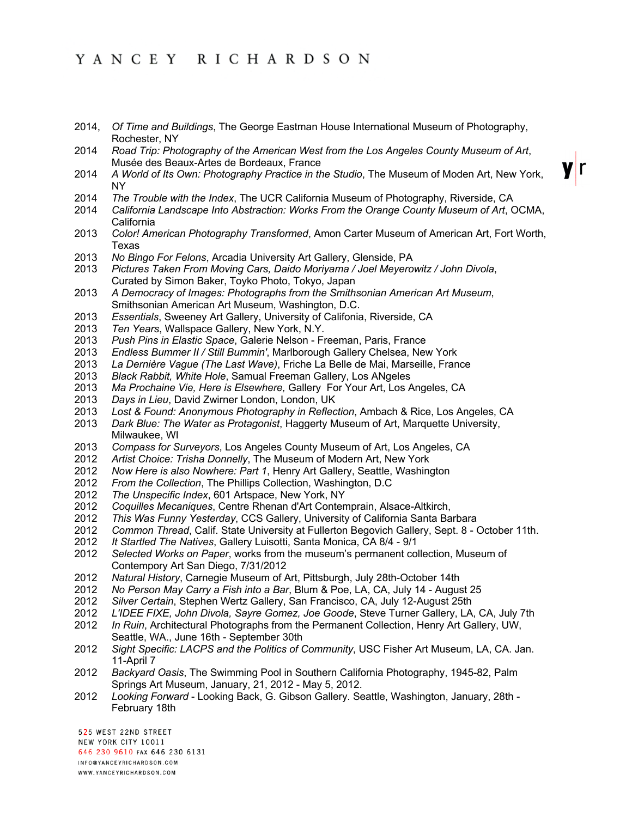- 2014, *Of Time and Buildings*, The George Eastman House International Museum of Photography, Rochester, NY
- *Road Trip: Photography of the American West from the Los Angeles County Museum of Art*, Musée des Beaux-Artes de Bordeaux, France
- *A World of Its Own: Photography Practice in the Studio*, The Museum of Moden Art, New York, NY
- *The Trouble with the Index*, The UCR California Museum of Photography, Riverside, CA
- *California Landscape Into Abstraction: Works From the Orange County Museum of Art*, OCMA, California
- *Color! American Photography Transformed*, Amon Carter Museum of American Art, Fort Worth, Texas
- *No Bingo For Felons*, Arcadia University Art Gallery, Glenside, PA
- *Pictures Taken From Moving Cars, Daido Moriyama / Joel Meyerowitz / John Divola*, Curated by Simon Baker, Toyko Photo, Tokyo, Japan
- *A Democracy of Images: Photographs from the Smithsonian American Art Museum*, Smithsonian American Art Museum, Washington, D.C.
- *Essentials*, Sweeney Art Gallery, University of Califonia, Riverside, CA
- *Ten Years*, Wallspace Gallery, New York, N.Y.
- *Push Pins in Elastic Space*, Galerie Nelson Freeman, Paris, France
- *Endless Bummer II / Still Bummin'*, Marlborough Gallery Chelsea, New York
- *La Dernière Vague (The Last Wave)*, Friche La Belle de Mai, Marseille, France
- *Black Rabbit, White Hole*, Samual Freeman Gallery, Los ANgeles
- *Ma Prochaine Vie, Here is Elsewhere,* Gallery For Your Art, Los Angeles, CA
- *Days in Lieu*, David Zwirner London, London, UK
- *Lost & Found: Anonymous Photography in Reflection*, Ambach & Rice, Los Angeles, CA
- *Dark Blue: The Water as Protagonist*, Haggerty Museum of Art, Marquette University, Milwaukee, WI
- *Compass for Surveyors*, Los Angeles County Museum of Art, Los Angeles, CA
- Artist Choice: Trisha Donnelly, The Museum of Modern Art, New York
- *Now Here is also Nowhere: Part 1*, Henry Art Gallery, Seattle, Washington
- *From the Collection*, The Phillips Collection, Washington, D.C
- *The Unspecific Index*, 601 Artspace, New York, NY
- *Coquilles Mecaniques*, Centre Rhenan d'Art Contemprain, Alsace-Altkirch,
- *This Was Funny Yesterday*, CCS Gallery, University of California Santa Barbara
- *Common Thread*, Calif. State University at Fullerton Begovich Gallery, Sept. 8 October 11th.
- *It Startled The Natives*, Gallery Luisotti, Santa Monica, CA 8/4 9/1
- *Selected Works on Paper*, works from the museum's permanent collection, Museum of Contempory Art San Diego, 7/31/2012
- *Natural History*, Carnegie Museum of Art, Pittsburgh, July 28th-October 14th
- *No Person May Carry a Fish into a Bar*, Blum & Poe, LA, CA, July 14 August 25
- *Silver Certain*, Stephen Wertz Gallery, San Francisco, CA, July 12-August 25th
- *L'IDEE FIXE, John Divola, Sayre Gomez, Joe Goode*, Steve Turner Gallery, LA, CA, July 7th
- *In Ruin*, Architectural Photographs from the Permanent Collection, Henry Art Gallery, UW, Seattle, WA., June 16th - September 30th
- *Sight Specific: LACPS and the Politics of Community*, USC Fisher Art Museum, LA, CA. Jan. 11-April 7
- *Backyard Oasis*, The Swimming Pool in Southern California Photography, 1945-82, Palm Springs Art Museum, January, 21, 2012 - May 5, 2012.
- *Looking Forward* Looking Back, G. Gibson Gallery. Seattle, Washington, January, 28th February 18th

525 WEST 22ND STREET

NEW YORK CITY 10011

646 230 9610 FAX 646 230 6131

INFO@YANCEYRICHARDSON.COM

Ir

WWW.YANCEYRICHARDSON.COM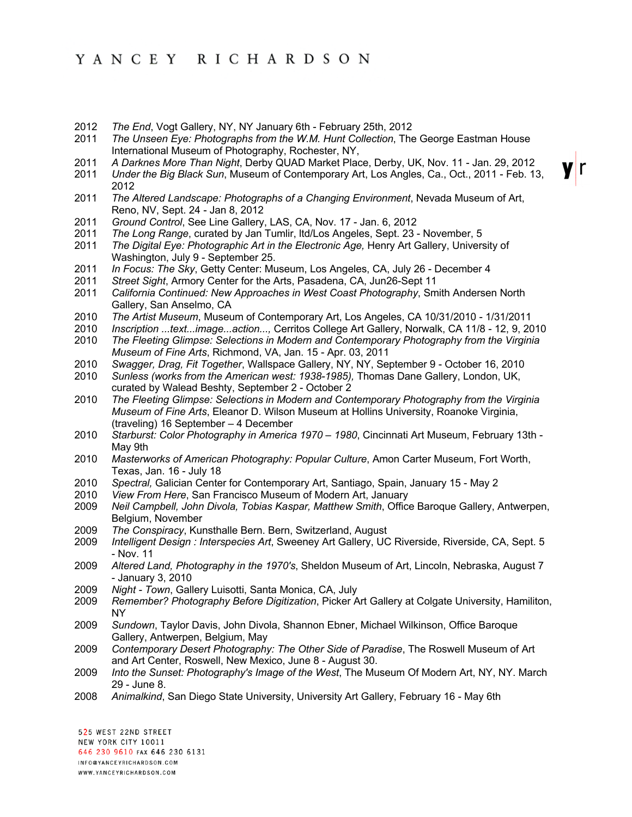- 2012 *The End*, Vogt Gallery, NY, NY January 6th February 25th, 2012
- 2011 *The Unseen Eye: Photographs from the W.M. Hunt Collection*, The George Eastman House International Museum of Photography, Rochester, NY,
- 2011 *A Darknes More Than Night*, Derby QUAD Market Place, Derby, UK, Nov. 11 Jan. 29, 2012
- 2011 *Under the Big Black Sun*, Museum of Contemporary Art, Los Angles, Ca., Oct., 2011 Feb. 13, 2012
- 2011 *The Altered Landscape: Photographs of a Changing Environment*, Nevada Museum of Art, Reno, NV, Sept. 24 - Jan 8, 2012
- 2011 *Ground Control*, See Line Gallery, LAS, CA, Nov. 17 Jan. 6, 2012
- 2011 *The Long Range*, curated by Jan Tumlir, ltd/Los Angeles, Sept. 23 November, 5
- 2011 *The Digital Eye: Photographic Art in the Electronic Age,* Henry Art Gallery, University of Washington, July 9 - September 25.
- 2011 *In Focus: The Sky*, Getty Center: Museum, Los Angeles, CA, July 26 December 4
- 2011 *Street Sight*, Armory Center for the Arts, Pasadena, CA, Jun26-Sept 11
- 2011 *California Continued: New Approaches in West Coast Photography*, Smith Andersen North Gallery, San Anselmo, CA
- 2010 *The Artist Museum*, Museum of Contemporary Art, Los Angeles, CA 10/31/2010 1/31/2011
- 2010 *Inscription ...text...image...action...,* Cerritos College Art Gallery, Norwalk, CA 11/8 12, 9, 2010 2010 *The Fleeting Glimpse: Selections in Modern and Contemporary Photography from the Virginia*
- *Museum of Fine Arts*, Richmond, VA, Jan. 15 Apr. 03, 2011
- 2010 *Swagger, Drag, Fit Together*, Wallspace Gallery, NY, NY, September 9 October 16, 2010
- 2010 *Sunless (works from the American west: 1938-1985),* Thomas Dane Gallery, London, UK, curated by Walead Beshty, September 2 - October 2
- 2010 *The Fleeting Glimpse: Selections in Modern and Contemporary Photography from the Virginia Museum of Fine Arts*, Eleanor D. Wilson Museum at Hollins University, Roanoke Virginia, (traveling) 16 September – 4 December
- 2010 *Starburst: Color Photography in America 1970 – 1980*, Cincinnati Art Museum, February 13th May 9th
- 2010 *Masterworks of American Photography: Popular Culture*, Amon Carter Museum, Fort Worth, Texas, Jan. 16 - July 18
- 2010 *Spectral,* Galician Center for Contemporary Art, Santiago, Spain, January 15 May 2
- 2010 *View From Here*, San Francisco Museum of Modern Art, January
- 2009 *Neil Campbell, John Divola, Tobias Kaspar, Matthew Smith*, Office Baroque Gallery, Antwerpen, Belgium, November
- 2009 *The Conspiracy*, Kunsthalle Bern. Bern, Switzerland, August
- 2009 *Intelligent Design : Interspecies Art*, Sweeney Art Gallery, UC Riverside, Riverside, CA, Sept. 5 - Nov. 11
- 2009 *Altered Land, Photography in the 1970's*, Sheldon Museum of Art, Lincoln, Nebraska, August 7 - January 3, 2010
- 2009 *Night - Town*, Gallery Luisotti, Santa Monica, CA, July
- 2009 *Remember? Photography Before Digitization*, Picker Art Gallery at Colgate University, Hamiliton, NY
- 2009 *Sundown*, Taylor Davis, John Divola, Shannon Ebner, Michael Wilkinson, Office Baroque Gallery, Antwerpen, Belgium, May
- 2009 *Contemporary Desert Photography: The Other Side of Paradise*, The Roswell Museum of Art and Art Center, Roswell, New Mexico, June 8 - August 30.
- 2009 *Into the Sunset: Photography's Image of the West*, The Museum Of Modern Art, NY, NY. March 29 - June 8.
- 2008 *Animalkind*, San Diego State University, University Art Gallery, February 16 May 6th

525 WEST 22ND STREET NEW YORK CITY 10011 646 230 9610 FAX 646 230 6131 INFO@YANCEYRICHARDSON.COM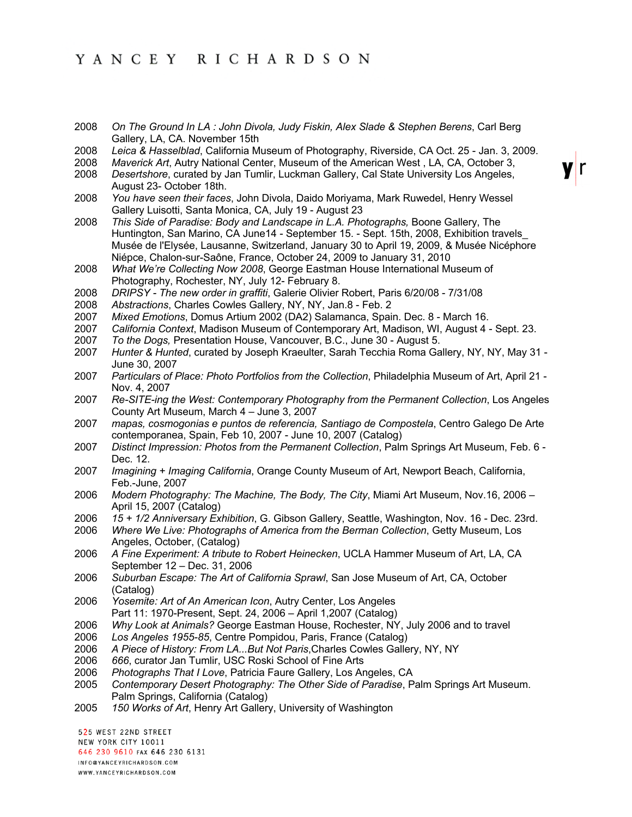- 2008 *On The Ground In LA : John Divola, Judy Fiskin, Alex Slade & Stephen Berens*, Carl Berg Gallery, LA, CA. November 15th
- 2008 *Leica & Hasselblad*, California Museum of Photography, Riverside, CA Oct. 25 Jan. 3, 2009.
- 2008 *Maverick Art*, Autry National Center, Museum of the American West , LA, CA, October 3,
- 2008 *Desertshore*, curated by Jan Tumlir, Luckman Gallery, Cal State University Los Angeles, August 23- October 18th.
- 2008 *You have seen their faces*, John Divola, Daido Moriyama, Mark Ruwedel, Henry Wessel Gallery Luisotti, Santa Monica, CA, July 19 - August 23
- 2008 *This Side of Paradise: Body and Landscape in L.A. Photographs,* Boone Gallery, The Huntington, San Marino, CA June14 - September 15. - Sept. 15th, 2008, Exhibition travels Musée de l'Elysée, Lausanne, Switzerland, January 30 to April 19, 2009, & Musée Nicéphore Niépce, Chalon-sur-Saône, France, October 24, 2009 to January 31, 2010
- 2008 *What We're Collecting Now 2008*, George Eastman House International Museum of Photography, Rochester, NY, July 12- February 8.
- 2008 *DRIPSY - The new order in graffiti*, Galerie Olivier Robert, Paris 6/20/08 7/31/08
- 2008 *Abstractions*, Charles Cowles Gallery, NY, NY, Jan.8 Feb. 2
- 2007 *Mixed Emotions*, Domus Artium 2002 (DA2) Salamanca, Spain. Dec. 8 March 16.
- 2007 *California Context*, Madison Museum of Contemporary Art, Madison, WI, August 4 Sept. 23.
- 2007 *To the Dogs,* Presentation House, Vancouver, B.C., June 30 August 5.
- 2007 *Hunter & Hunted*, curated by Joseph Kraeulter, Sarah Tecchia Roma Gallery, NY, NY, May 31 June 30, 2007
- 2007 *Particulars of Place: Photo Portfolios from the Collection*, Philadelphia Museum of Art, April 21 Nov. 4, 2007
- 2007 *Re-SITE-ing the West: Contemporary Photography from the Permanent Collection*, Los Angeles County Art Museum, March 4 – June 3, 2007
- 2007 *mapas, cosmogonias e puntos de referencia, Santiago de Compostela*, Centro Galego De Arte contemporanea, Spain, Feb 10, 2007 - June 10, 2007 (Catalog)
- 2007 *Distinct Impression: Photos from the Permanent Collection*, Palm Springs Art Museum, Feb. 6 Dec. 12.
- 2007 *Imagining + Imaging California*, Orange County Museum of Art, Newport Beach, California, Feb.-June, 2007
- 2006 *Modern Photography: The Machine, The Body, The City*, Miami Art Museum, Nov.16, 2006 April 15, 2007 (Catalog)
- 2006 *15 + 1/2 Anniversary Exhibition*, G. Gibson Gallery, Seattle, Washington, Nov. 16 Dec. 23rd.
- 2006 *Where We Live: Photographs of America from the Berman Collection*, Getty Museum, Los Angeles, October, (Catalog)
- 2006 *A Fine Experiment: A tribute to Robert Heinecken*, UCLA Hammer Museum of Art, LA, CA September 12 – Dec. 31, 2006
- 2006 *Suburban Escape: The Art of California Sprawl*, San Jose Museum of Art, CA, October (Catalog)
- 2006 *Yosemite: Art of An American Icon*, Autry Center, Los Angeles Part 11: 1970-Present, Sept. 24, 2006 – April 1,2007 (Catalog)
- 2006 *Why Look at Animals?* George Eastman House, Rochester, NY, July 2006 and to travel
- 2006 *Los Angeles 1955-85*, Centre Pompidou, Paris, France (Catalog)
- 2006 *A Piece of History: From LA...But Not Paris*,Charles Cowles Gallery, NY, NY
- 2006 *666*, curator Jan Tumlir, USC Roski School of Fine Arts
- 2006 *Photographs That I Love*, Patricia Faure Gallery, Los Angeles, CA
- 2005 *Contemporary Desert Photography: The Other Side of Paradise*, Palm Springs Art Museum. Palm Springs, California (Catalog)
- 2005 *150 Works of Art*, Henry Art Gallery, University of Washington

525 WEST 22ND STREET

NEW YORK CITY 10011

646 230 9610 FAX 646 230 6131

INFO@YANCEYRICHARDSON.COM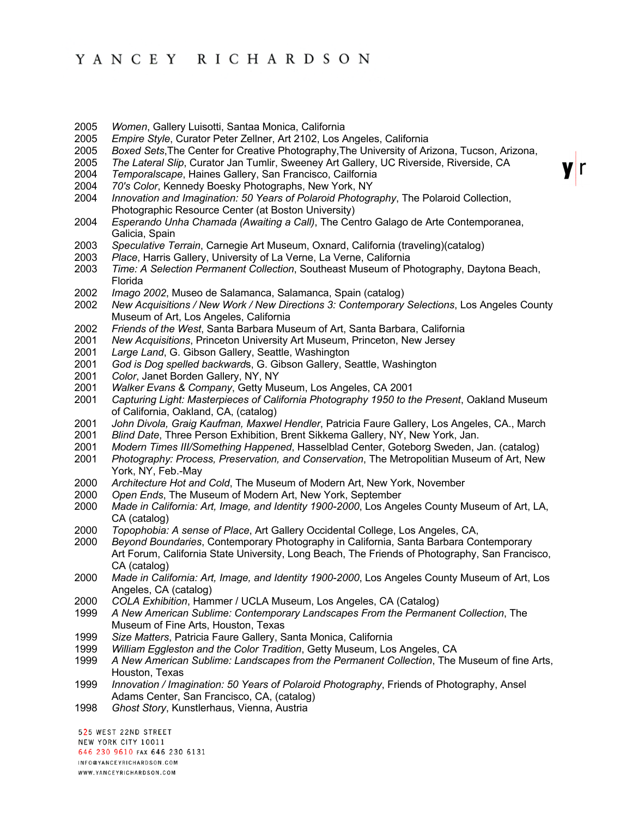- *Women*, Gallery Luisotti, Santaa Monica, California
- *Empire Style*, Curator Peter Zellner, Art 2102, Los Angeles, California
- *Boxed Sets*,The Center for Creative Photography,The University of Arizona, Tucson, Arizona,
- *The Lateral Slip*, Curator Jan Tumlir, Sweeney Art Gallery, UC Riverside, Riverside, CA
- *Temporalscape*, Haines Gallery, San Francisco, Cailfornia
- *70's Color*, Kennedy Boesky Photographs, New York, NY
- *Innovation and Imagination: 50 Years of Polaroid Photography*, The Polaroid Collection, Photographic Resource Center (at Boston University)
- *Esperando Unha Chamada (Awaiting a Call)*, The Centro Galago de Arte Contemporanea, Galicia, Spain
- *Speculative Terrain*, Carnegie Art Museum, Oxnard, California (traveling)(catalog)
- *Place*, Harris Gallery, University of La Verne, La Verne, California
- *Time: A Selection Permanent Collection*, Southeast Museum of Photography, Daytona Beach, Florida
- *Imago 2002*, Museo de Salamanca, Salamanca, Spain (catalog)
- *New Acquisitions / New Work / New Directions 3: Contemporary Selections*, Los Angeles County Museum of Art, Los Angeles, California
- *Friends of the West*, Santa Barbara Museum of Art, Santa Barbara, California
- *New Acquisitions*, Princeton University Art Museum, Princeton, New Jersey
- *Large Land*, G. Gibson Gallery, Seattle, Washington
- *God is Dog spelled backward*s, G. Gibson Gallery, Seattle, Washington
- *Color*, Janet Borden Gallery, NY, NY
- *Walker Evans & Company*, Getty Museum, Los Angeles, CA 2001
- *Capturing Light: Masterpieces of California Photography 1950 to the Present*, Oakland Museum of California, Oakland, CA, (catalog)
- *John Divola, Graig Kaufman, Maxwel Hendler*, Patricia Faure Gallery, Los Angeles, CA., March
- *Blind Date*, Three Person Exhibition, Brent Sikkema Gallery, NY, New York, Jan.
- *Modern Times III/Something Happened*, Hasselblad Center, Goteborg Sweden, Jan. (catalog)
- *Photography: Process, Preservation, and Conservation*, The Metropolitian Museum of Art, New York, NY, Feb.-May
- *Architecture Hot and Cold*, The Museum of Modern Art, New York, November
- *Open Ends*, The Museum of Modern Art, New York, September
- *Made in California: Art, Image, and Identity 1900-2000*, Los Angeles County Museum of Art, LA, CA (catalog)
- *Topophobia: A sense of Place*, Art Gallery Occidental College, Los Angeles, CA,
- *Beyond Boundaries*, Contemporary Photography in California, Santa Barbara Contemporary Art Forum, California State University, Long Beach, The Friends of Photography, San Francisco, CA (catalog)
- *Made in California: Art, Image, and Identity 1900-2000*, Los Angeles County Museum of Art, Los Angeles, CA (catalog)
- *COLA Exhibition*, Hammer / UCLA Museum, Los Angeles, CA (Catalog)
- *A New American Sublime: Contemporary Landscapes From the Permanent Collection*, The Museum of Fine Arts, Houston, Texas
- *Size Matters*, Patricia Faure Gallery, Santa Monica, California
- *William Eggleston and the Color Tradition*, Getty Museum, Los Angeles, CA
- *A New American Sublime: Landscapes from the Permanent Collection*, The Museum of fine Arts, Houston, Texas
- *Innovation / Imagination: 50 Years of Polaroid Photography*, Friends of Photography, Ansel Adams Center, San Francisco, CA, (catalog)
- *Ghost Story*, Kunstlerhaus, Vienna, Austria

525 WEST 22ND STREET

NEW YORK CITY 10011

646 230 9610 FAX 646 230 6131

INFO@YANCEYRICHARDSON.COM

WWW.YANCEYRICHARDSON.COM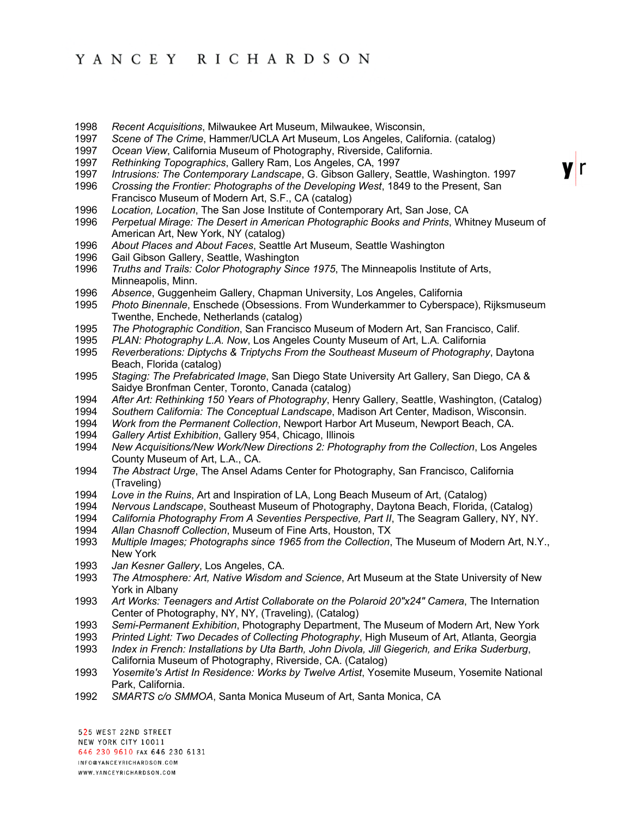- *Recent Acquisitions*, Milwaukee Art Museum, Milwaukee, Wisconsin,
- *Scene of The Crime*, Hammer/UCLA Art Museum, Los Angeles, California. (catalog)
- *Ocean View*, California Museum of Photography, Riverside, California.
- *Rethinking Topographics*, Gallery Ram, Los Angeles, CA, 1997
- *Intrusions: The Contemporary Landscape*, G. Gibson Gallery, Seattle, Washington. 1997
- *Crossing the Frontier: Photographs of the Developing West*, 1849 to the Present, San Francisco Museum of Modern Art, S.F., CA (catalog)
- *Location, Location*, The San Jose Institute of Contemporary Art, San Jose, CA
- *Perpetual Mirage: The Desert in American Photographic Books and Prints*, Whitney Museum of American Art, New York, NY (catalog)
- *About Places and About Faces*, Seattle Art Museum, Seattle Washington
- 1996 Gail Gibson Gallery, Seattle, Washington
- *Truths and Trails: Color Photography Since 1975*, The Minneapolis Institute of Arts, Minneapolis, Minn.
- *Absence*, Guggenheim Gallery, Chapman University, Los Angeles, California
- *Photo Binennale*, Enschede (Obsessions. From Wunderkammer to Cyberspace), Rijksmuseum Twenthe, Enchede, Netherlands (catalog)
- *The Photographic Condition*, San Francisco Museum of Modern Art, San Francisco, Calif.
- *PLAN: Photography L.A. Now*, Los Angeles County Museum of Art, L.A. California
- *Reverberations: Diptychs & Triptychs From the Southeast Museum of Photography*, Daytona Beach, Florida (catalog)
- *Staging: The Prefabricated Image*, San Diego State University Art Gallery, San Diego, CA & Saidye Bronfman Center, Toronto, Canada (catalog)
- *After Art: Rethinking 150 Years of Photography*, Henry Gallery, Seattle, Washington, (Catalog)
- *Southern California: The Conceptual Landscape*, Madison Art Center, Madison, Wisconsin.
- *Work from the Permanent Collection*, Newport Harbor Art Museum, Newport Beach, CA.
- *Gallery Artist Exhibition*, Gallery 954, Chicago, Illinois
- *New Acquisitions/New Work/New Directions 2: Photography from the Collection*, Los Angeles County Museum of Art, L.A., CA.
- *The Abstract Urge*, The Ansel Adams Center for Photography, San Francisco, California (Traveling)
- *Love in the Ruins*, Art and Inspiration of LA, Long Beach Museum of Art, (Catalog)
- *Nervous Landscape*, Southeast Museum of Photography, Daytona Beach, Florida, (Catalog)
- *California Photography From A Seventies Perspective, Part II*, The Seagram Gallery, NY, NY.
- *Allan Chasnoff Collection*, Museum of Fine Arts, Houston, TX
- *Multiple Images; Photographs since 1965 from the Collection*, The Museum of Modern Art, N.Y., New York
- *Jan Kesner Gallery*, Los Angeles, CA.
- *The Atmosphere: Art, Native Wisdom and Science*, Art Museum at the State University of New York in Albany
- *Art Works: Teenagers and Artist Collaborate on the Polaroid 20"x24" Camera*, The Internation Center of Photography, NY, NY, (Traveling), (Catalog)
- *Semi-Permanent Exhibition*, Photography Department, The Museum of Modern Art, New York
- *Printed Light: Two Decades of Collecting Photography*, High Museum of Art, Atlanta, Georgia
- *Index in French: Installations by Uta Barth, John Divola, Jill Giegerich, and Erika Suderburg*, California Museum of Photography, Riverside, CA. (Catalog)
- *Yosemite's Artist In Residence: Works by Twelve Artist*, Yosemite Museum, Yosemite National Park, California.
- *SMARTS c/o SMMOA*, Santa Monica Museum of Art, Santa Monica, CA

525 WEST 22ND STREET NEW YORK CITY 10011 646 230 9610 FAX 646 230 6131 INFO@YANCEYRICHARDSON.COM WWW.YANCEYRICHARDSON.COM

r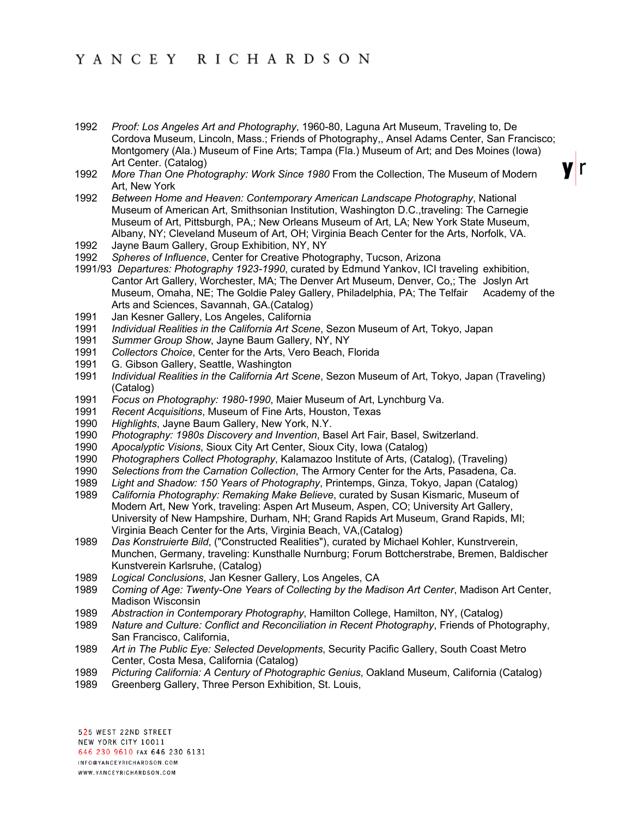- 1992 *Proof: Los Angeles Art and Photography*, 1960-80, Laguna Art Museum, Traveling to, De Cordova Museum, Lincoln, Mass.; Friends of Photography,, Ansel Adams Center, San Francisco; Montgomery (Ala.) Museum of Fine Arts; Tampa (Fla.) Museum of Art; and Des Moines (Iowa) Art Center. (Catalog)
- 1992 *More Than One Photography: Work Since 1980* From the Collection, The Museum of Modern Art, New York
- 1992 *Between Home and Heaven: Contemporary American Landscape Photography*, National Museum of American Art, Smithsonian Institution, Washington D.C.,traveling: The Carnegie Museum of Art, Pittsburgh, PA,; New Orleans Museum of Art, LA; New York State Museum, Albany, NY; Cleveland Museum of Art, OH; Virginia Beach Center for the Arts, Norfolk, VA.
- 1992 Jayne Baum Gallery, Group Exhibition, NY, NY
- 1992 *Spheres of Influence*, Center for Creative Photography, Tucson, Arizona
- 1991/93 *Departures: Photography 1923-1990*, curated by Edmund Yankov, ICI traveling exhibition, Cantor Art Gallery, Worchester, MA; The Denver Art Museum, Denver, Co,; The Joslyn Art Museum, Omaha, NE; The Goldie Paley Gallery, Philadelphia, PA; The Telfair Academy of the Arts and Sciences, Savannah, GA.(Catalog)
- 1991 Jan Kesner Gallery, Los Angeles, California
- 1991 *Individual Realities in the California Art Scene*, Sezon Museum of Art, Tokyo, Japan
- 1991 *Summer Group Show*, Jayne Baum Gallery, NY, NY
- 1991 *Collectors Choice*, Center for the Arts, Vero Beach, Florida
- 1991 G. Gibson Gallery, Seattle, Washington
- 1991 *Individual Realities in the California Art Scene*, Sezon Museum of Art, Tokyo, Japan (Traveling) (Catalog)
- 1991 *Focus on Photography: 1980-1990*, Maier Museum of Art, Lynchburg Va.
- 1991 *Recent Acquisitions*, Museum of Fine Arts, Houston, Texas
- 1990 *Highlights*, Jayne Baum Gallery, New York, N.Y.
- 1990 *Photography: 1980s Discovery and Invention*, Basel Art Fair, Basel, Switzerland.
- 1990 *Apocalyptic Visions*, Sioux City Art Center, Sioux City, Iowa (Catalog)
- 1990 *Photographers Collect Photography*, Kalamazoo Institute of Arts, (Catalog), (Traveling)
- 1990 *Selections from the Carnation Collection*, The Armory Center for the Arts, Pasadena, Ca.
- 1989 *Light and Shadow: 150 Years of Photography*, Printemps, Ginza, Tokyo, Japan (Catalog)
- 1989 *California Photography: Remaking Make Believe*, curated by Susan Kismaric, Museum of Modern Art, New York, traveling: Aspen Art Museum, Aspen, CO; University Art Gallery, University of New Hampshire, Durham, NH; Grand Rapids Art Museum, Grand Rapids, MI; Virginia Beach Center for the Arts, Virginia Beach, VA,(Catalog)
- 1989 *Das Konstruierte Bild*, ("Constructed Realities"), curated by Michael Kohler, Kunstrverein, Munchen, Germany, traveling: Kunsthalle Nurnburg; Forum Bottcherstrabe, Bremen, Baldischer Kunstverein Karlsruhe, (Catalog)
- 1989 *Logical Conclusions*, Jan Kesner Gallery, Los Angeles, CA
- 1989 *Coming of Age: Twenty-One Years of Collecting by the Madison Art Center*, Madison Art Center, Madison Wisconsin
- 1989 *Abstraction in Contemporary Photography*, Hamilton College, Hamilton, NY, (Catalog)
- 1989 *Nature and Culture: Conflict and Reconciliation in Recent Photography*, Friends of Photography, San Francisco, California,
- 1989 *Art in The Public Eye: Selected Developments*, Security Pacific Gallery, South Coast Metro Center, Costa Mesa, California (Catalog)
- 1989 *Picturing California: A Century of Photographic Genius*, Oakland Museum, California (Catalog)
- 1989 Greenberg Gallery, Three Person Exhibition, St. Louis,

525 WEST 22ND STREET NEW YORK CITY 10011 646 230 9610 FAX 646 230 6131 INFO@YANCEYRICHARDSON.COM WWW.YANCEYRICHARDSON.COM

r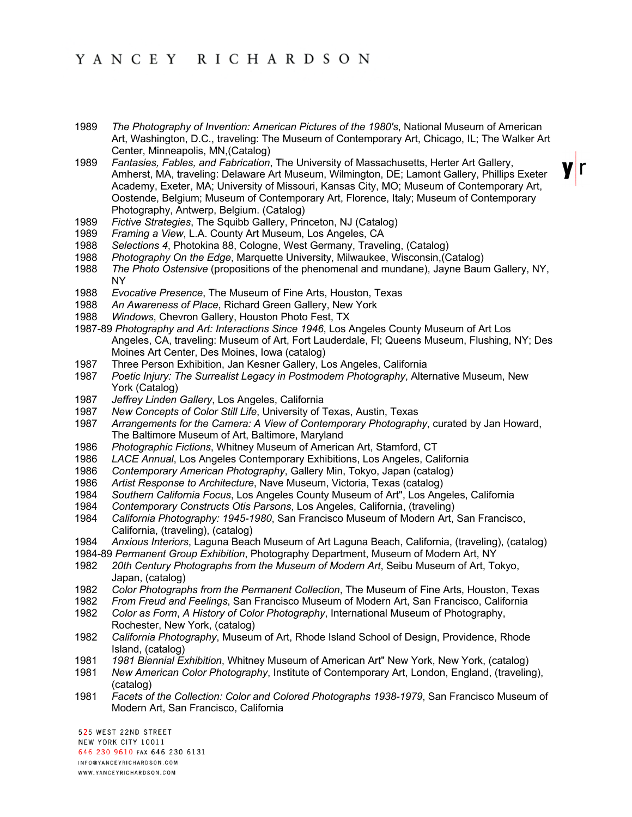- 1989 *The Photography of Invention: American Pictures of the 1980's*, National Museum of American Art, Washington, D.C., traveling: The Museum of Contemporary Art, Chicago, IL; The Walker Art Center, Minneapolis, MN,(Catalog)
- 1989 *Fantasies, Fables, and Fabrication*, The University of Massachusetts, Herter Art Gallery, Amherst, MA, traveling: Delaware Art Museum, Wilmington, DE; Lamont Gallery, Phillips Exeter Academy, Exeter, MA; University of Missouri, Kansas City, MO; Museum of Contemporary Art, Oostende, Belgium; Museum of Contemporary Art, Florence, Italy; Museum of Contemporary Photography, Antwerp, Belgium. (Catalog)

Ir

- 1989 *Fictive Strategies*, The Squibb Gallery, Princeton, NJ (Catalog)
- 1989 *Framing a View*, L.A. County Art Museum, Los Angeles, CA
- 1988 *Selections 4*, Photokina 88, Cologne, West Germany, Traveling, (Catalog)
- 1988 *Photography On the Edge*, Marquette University, Milwaukee, Wisconsin,(Catalog)
- 1988 *The Photo Ostensive* (propositions of the phenomenal and mundane), Jayne Baum Gallery, NY, NY
- 1988 *Evocative Presence*, The Museum of Fine Arts, Houston, Texas
- 1988 *An Awareness of Place*, Richard Green Gallery, New York
- 1988 *Windows*, Chevron Gallery, Houston Photo Fest, TX
- 1987-89 *Photography and Art: Interactions Since 1946*, Los Angeles County Museum of Art Los Angeles, CA, traveling: Museum of Art, Fort Lauderdale, Fl; Queens Museum, Flushing, NY; Des Moines Art Center, Des Moines, Iowa (catalog)
- 1987 Three Person Exhibition, Jan Kesner Gallery, Los Angeles, California
- 1987 *Poetic Injury: The Surrealist Legacy in Postmodern Photography*, Alternative Museum, New York (Catalog)
- 1987 *Jeffrey Linden Gallery*, Los Angeles, California
- 1987 *New Concepts of Color Still Life*, University of Texas, Austin, Texas
- 1987 *Arrangements for the Camera: A View of Contemporary Photography*, curated by Jan Howard, The Baltimore Museum of Art, Baltimore, Maryland
- 1986 *Photographic Fictions*, Whitney Museum of American Art, Stamford, CT
- LACE Annual, Los Angeles Contemporary Exhibitions, Los Angeles, California
- 1986 *Contemporary American Photography*, Gallery Min, Tokyo, Japan (catalog)
- 1986 *Artist Response to Architecture*, Nave Museum, Victoria, Texas (catalog)
- 1984 *Southern California Focus*, Los Angeles County Museum of Art", Los Angeles, California
- 1984 *Contemporary Constructs Otis Parsons*, Los Angeles, California, (traveling)
- 1984 *California Photography: 1945-1980*, San Francisco Museum of Modern Art, San Francisco, California, (traveling), (catalog)
- 1984 *Anxious Interiors*, Laguna Beach Museum of Art Laguna Beach, California, (traveling), (catalog)
- 1984-89 *Permanent Group Exhibition*, Photography Department, Museum of Modern Art, NY
- 1982 *20th Century Photographs from the Museum of Modern Art*, Seibu Museum of Art, Tokyo, Japan, (catalog)
- 1982 *Color Photographs from the Permanent Collection*, The Museum of Fine Arts, Houston, Texas
- 1982 *From Freud and Feelings*, San Francisco Museum of Modern Art, San Francisco, California
- 1982 *Color as Form*, *A History of Color Photography*, International Museum of Photography, Rochester, New York, (catalog)
- 1982 *California Photography*, Museum of Art, Rhode Island School of Design, Providence, Rhode Island, (catalog)
- 1981 *1981 Biennial Exhibition*, Whitney Museum of American Art" New York, New York, (catalog)
- 1981 *New American Color Photography*, Institute of Contemporary Art, London, England, (traveling), (catalog)
- 1981 *Facets of the Collection: Color and Colored Photographs 1938-1979*, San Francisco Museum of Modern Art, San Francisco, California

525 WEST 22ND STREET

NEW YORK CITY 10011

646 230 9610 FAX 646 230 6131

INFO@YANCEYRICHARDSON.COM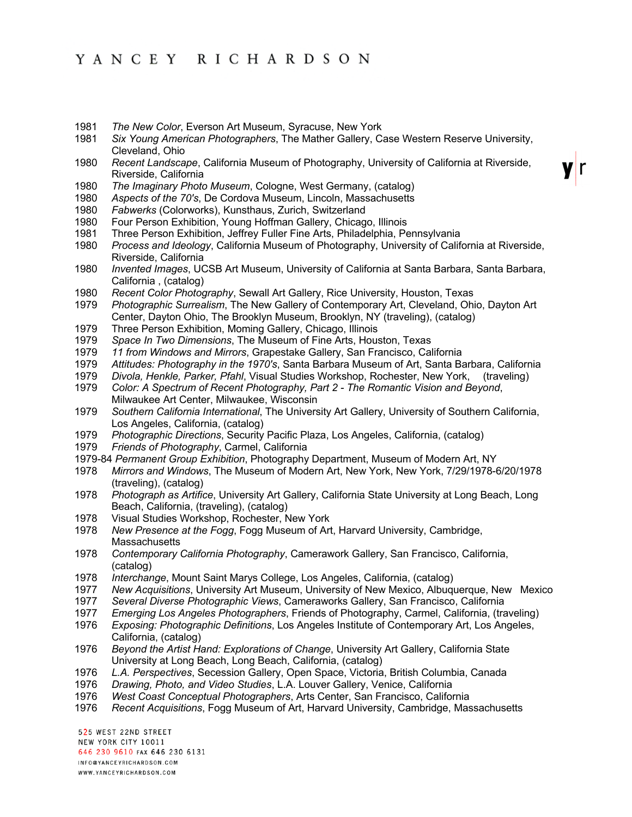- 1981 *The New Color*, Everson Art Museum, Syracuse, New York
- 1981 *Six Young American Photographers*, The Mather Gallery, Case Western Reserve University, Cleveland, Ohio
- 1980 *Recent Landscape*, California Museum of Photography, University of California at Riverside, Riverside, California

r

- 1980 *The Imaginary Photo Museum*, Cologne, West Germany, (catalog)
- 1980 *Aspects of the 70's*, De Cordova Museum, Lincoln, Massachusetts
- 1980 *Fabwerks* (Colorworks), Kunsthaus, Zurich, Switzerland
- 1980 Four Person Exhibition, Young Hoffman Gallery, Chicago, Illinois
- 1981 Three Person Exhibition, Jeffrey Fuller Fine Arts, Philadelphia, Pennsylvania
- 1980 *Process and Ideology*, California Museum of Photography, University of California at Riverside, Riverside, California
- 1980 *Invented Images*, UCSB Art Museum, University of California at Santa Barbara, Santa Barbara, California , (catalog)
- 1980 *Recent Color Photography*, Sewall Art Gallery, Rice University, Houston, Texas
- 1979 *Photographic Surrealism*, The New Gallery of Contemporary Art, Cleveland, Ohio, Dayton Art Center, Dayton Ohio, The Brooklyn Museum, Brooklyn, NY (traveling), (catalog)
- 1979 Three Person Exhibition, Moming Gallery, Chicago, Illinois
- 1979 *Space In Two Dimensions*, The Museum of Fine Arts, Houston, Texas
- 1979 *11 from Windows and Mirrors*, Grapestake Gallery, San Francisco, California
- 1979 *Attitudes: Photography in the 1970's*, Santa Barbara Museum of Art, Santa Barbara, California
- 1979 *Divola, Henkle, Parker, Pfahl*, Visual Studies Workshop, Rochester, New York, (traveling)
- 1979 *Color: A Spectrum of Recent Photography, Part 2 - The Romantic Vision and Beyond*, Milwaukee Art Center, Milwaukee, Wisconsin
- 1979 *Southern California International*, The University Art Gallery, University of Southern California, Los Angeles, California, (catalog)
- 1979 *Photographic Directions*, Security Pacific Plaza, Los Angeles, California, (catalog)
- 1979 *Friends of Photography*, Carmel, California
- 1979-84 *Permanent Group Exhibition*, Photography Department, Museum of Modern Art, NY
- 1978 *Mirrors and Windows*, The Museum of Modern Art, New York, New York, 7/29/1978-6/20/1978 (traveling), (catalog)
- 1978 *Photograph as Artifice*, University Art Gallery, California State University at Long Beach, Long Beach, California, (traveling), (catalog)
- 1978 Visual Studies Workshop, Rochester, New York
- 1978 *New Presence at the Fogg*, Fogg Museum of Art, Harvard University, Cambridge, **Massachusetts**
- 1978 *Contemporary California Photography*, Camerawork Gallery, San Francisco, California, (catalog)
- 1978 *Interchange*, Mount Saint Marys College, Los Angeles, California, (catalog)
- 1977 *New Acquisitions*, University Art Museum, University of New Mexico, Albuquerque, New Mexico
- 1977 *Several Diverse Photographic Views*, Cameraworks Gallery, San Francisco, California
- 1977 *Emerging Los Angeles Photographers*, Friends of Photography, Carmel, California, (traveling)
- 1976 *Exposing: Photographic Definitions*, Los Angeles Institute of Contemporary Art, Los Angeles, California, (catalog)
- 1976 *Beyond the Artist Hand: Explorations of Change*, University Art Gallery, California State University at Long Beach, Long Beach, California, (catalog)
- 1976 *L.A. Perspectives*, Secession Gallery, Open Space, Victoria, British Columbia, Canada
- 1976 *Drawing, Photo, and Video Studies*, L.A. Louver Gallery, Venice, California
- 1976 *West Coast Conceptual Photographers*, Arts Center, San Francisco, California
- 1976 *Recent Acquisitions*, Fogg Museum of Art, Harvard University, Cambridge, Massachusetts

525 WEST 22ND STREET NEW YORK CITY 10011 646 230 9610 FAX 646 230 6131 INFO@YANCEYRICHARDSON.COM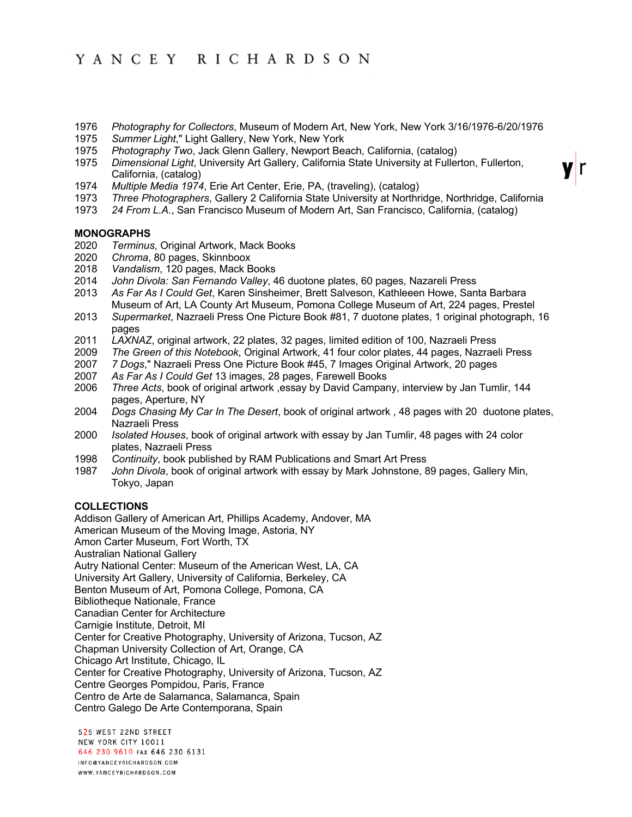- 1976 *Photography for Collectors*, Museum of Modern Art, New York, New York 3/16/1976-6/20/1976
- 1975 *Summer Light*," Light Gallery, New York, New York
- 1975 *Photography Two*, Jack Glenn Gallery, Newport Beach, California, (catalog)
- 1975 *Dimensional Light*, University Art Gallery, California State University at Fullerton, Fullerton, California, (catalog)
- 1974 *Multiple Media 1974*, Erie Art Center, Erie, PA, (traveling), (catalog)
- 1973 *Three Photographers*, Gallery 2 California State University at Northridge, Northridge, California
- 1973 *24 From L.A.*, San Francisco Museum of Modern Art, San Francisco, California, (catalog)

### **MONOGRAPHS**

- 2020 *Terminus*, Original Artwork, Mack Books
- 2020 *Chroma*, 80 pages, Skinnboox
- 2018 *Vandalism*, 120 pages, Mack Books
- 2014 *John Divola: San Fernando Valley*, 46 duotone plates, 60 pages, Nazareli Press
- 2013 *As Far As I Could Get*, Karen Sinsheimer, Brett Salveson, Kathleeen Howe, Santa Barbara Museum of Art, LA County Art Museum, Pomona College Museum of Art, 224 pages, Prestel
- 2013 *Supermarket*, Nazraeli Press One Picture Book #81, 7 duotone plates, 1 original photograph, 16 pages
- 2011 *LAXNAZ*, original artwork, 22 plates, 32 pages, limited edition of 100, Nazraeli Press
- 2009 *The Green of this Notebook*, Original Artwork, 41 four color plates, 44 pages, Nazraeli Press
- 2007 *7 Dogs*," Nazraeli Press One Picture Book #45, 7 Images Original Artwork, 20 pages
- 2007 *As Far As I Could Get* 13 images, 28 pages, Farewell Books
- 2006 *Three Acts*, book of original artwork ,essay by David Campany, interview by Jan Tumlir, 144 pages, Aperture, NY
- 2004 *Dogs Chasing My Car In The Desert*, book of original artwork , 48 pages with 20 duotone plates, Nazraeli Press
- 2000 *Isolated Houses*, book of original artwork with essay by Jan Tumlir, 48 pages with 24 color plates, Nazraeli Press
- 1998 *Continuity*, book published by RAM Publications and Smart Art Press
- 1987 *John Divola*, book of original artwork with essay by Mark Johnstone, 89 pages, Gallery Min, Tokyo, Japan

#### **COLLECTIONS**

Addison Gallery of American Art, Phillips Academy, Andover, MA American Museum of the Moving Image, Astoria, NY Amon Carter Museum, Fort Worth, TX Australian National Gallery Autry National Center: Museum of the American West, LA, CA University Art Gallery, University of California, Berkeley, CA Benton Museum of Art, Pomona College, Pomona, CA Bibliotheque Nationale, France Canadian Center for Architecture Carnigie Institute, Detroit, MI Center for Creative Photography, University of Arizona, Tucson, AZ Chapman University Collection of Art, Orange, CA Chicago Art Institute, Chicago, IL Center for Creative Photography, University of Arizona, Tucson, AZ Centre Georges Pompidou, Paris, France Centro de Arte de Salamanca, Salamanca, Spain Centro Galego De Arte Contemporana, Spain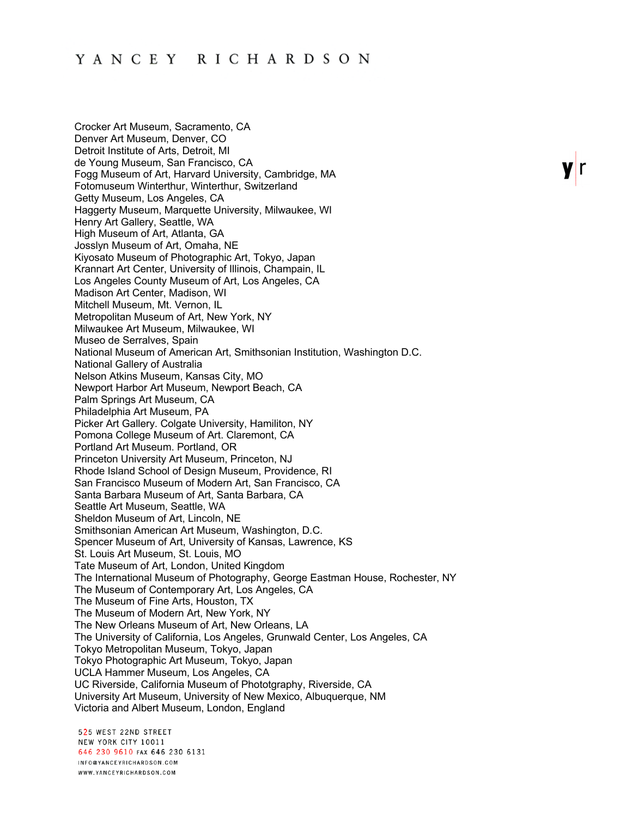Crocker Art Museum, Sacramento, CA Denver Art Museum, Denver, CO Detroit Institute of Arts, Detroit, MI de Young Museum, San Francisco, CA Fogg Museum of Art, Harvard University, Cambridge, MA Fotomuseum Winterthur, Winterthur, Switzerland Getty Museum, Los Angeles, CA Haggerty Museum, Marquette University, Milwaukee, WI Henry Art Gallery, Seattle, WA High Museum of Art, Atlanta, GA Josslyn Museum of Art, Omaha, NE Kiyosato Museum of Photographic Art, Tokyo, Japan Krannart Art Center, University of Illinois, Champain, IL Los Angeles County Museum of Art, Los Angeles, CA Madison Art Center, Madison, WI Mitchell Museum, Mt. Vernon, IL Metropolitan Museum of Art, New York, NY Milwaukee Art Museum, Milwaukee, WI Museo de Serralves, Spain National Museum of American Art, Smithsonian Institution, Washington D.C. National Gallery of Australia Nelson Atkins Museum, Kansas City, MO Newport Harbor Art Museum, Newport Beach, CA Palm Springs Art Museum, CA Philadelphia Art Museum, PA Picker Art Gallery. Colgate University, Hamiliton, NY Pomona College Museum of Art. Claremont, CA Portland Art Museum. Portland, OR Princeton University Art Museum, Princeton, NJ Rhode Island School of Design Museum, Providence, RI San Francisco Museum of Modern Art, San Francisco, CA Santa Barbara Museum of Art, Santa Barbara, CA Seattle Art Museum, Seattle, WA Sheldon Museum of Art, Lincoln, NE Smithsonian American Art Museum, Washington, D.C. Spencer Museum of Art, University of Kansas, Lawrence, KS St. Louis Art Museum, St. Louis, MO Tate Museum of Art, London, United Kingdom The International Museum of Photography, George Eastman House, Rochester, NY The Museum of Contemporary Art, Los Angeles, CA The Museum of Fine Arts, Houston, TX The Museum of Modern Art, New York, NY The New Orleans Museum of Art, New Orleans, LA The University of California, Los Angeles, Grunwald Center, Los Angeles, CA Tokyo Metropolitan Museum, Tokyo, Japan Tokyo Photographic Art Museum, Tokyo, Japan UCLA Hammer Museum, Los Angeles, CA UC Riverside, California Museum of Phototgraphy, Riverside, CA University Art Museum, University of New Mexico, Albuquerque, NM Victoria and Albert Museum, London, England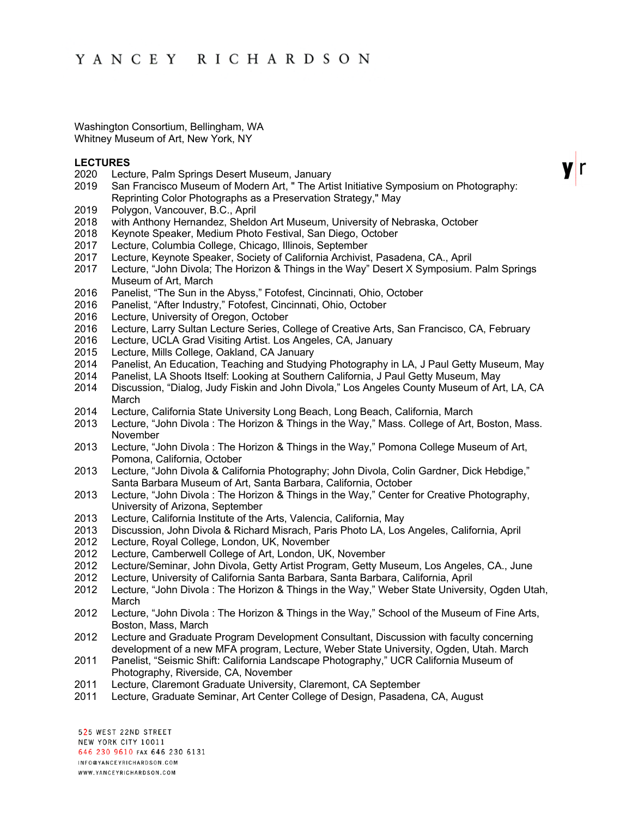Washington Consortium, Bellingham, WA Whitney Museum of Art, New York, NY

#### **LECTURES**

- 2020 Lecture, Palm Springs Desert Museum, January
- 2019 San Francisco Museum of Modern Art, " The Artist Initiative Symposium on Photography: Reprinting Color Photographs as a Preservation Strategy," May
- 2019 Polygon, Vancouver, B.C., April
- 2018 with Anthony Hernandez, Sheldon Art Museum, University of Nebraska, October
- 2018 Keynote Speaker, Medium Photo Festival, San Diego, October
- 2017 Lecture, Columbia College, Chicago, Illinois, September
- Lecture, Keynote Speaker, Society of California Archivist, Pasadena, CA., April
- 2017 Lecture, "John Divola; The Horizon & Things in the Way" Desert X Symposium. Palm Springs Museum of Art, March
- 2016 Panelist, "The Sun in the Abyss," Fotofest, Cincinnati, Ohio, October
- 2016 Panelist, "After Industry," Fotofest, Cincinnati, Ohio, October
- 2016 Lecture, University of Oregon, October
- 2016 Lecture, Larry Sultan Lecture Series, College of Creative Arts, San Francisco, CA, February
- 2016 Lecture, UCLA Grad Visiting Artist. Los Angeles, CA, January
- 2015 Lecture, Mills College, Oakland, CA January
- 2014 Panelist, An Education, Teaching and Studying Photography in LA, J Paul Getty Museum, May
- 2014 Panelist, LA Shoots Itself: Looking at Southern California, J Paul Getty Museum, May
- 2014 Discussion, "Dialog, Judy Fiskin and John Divola," Los Angeles County Museum of Art, LA, CA **March**
- 2014 Lecture, California State University Long Beach, Long Beach, California, March
- 2013 Lecture, "John Divola : The Horizon & Things in the Way," Mass. College of Art, Boston, Mass. November
- 2013 Lecture, "John Divola : The Horizon & Things in the Way," Pomona College Museum of Art, Pomona, California, October
- 2013 Lecture, "John Divola & California Photography; John Divola, Colin Gardner, Dick Hebdige," Santa Barbara Museum of Art, Santa Barbara, California, October
- 2013 Lecture, "John Divola : The Horizon & Things in the Way," Center for Creative Photography, University of Arizona, September
- 2013 Lecture, California Institute of the Arts, Valencia, California, May
- 2013 Discussion, John Divola & Richard Misrach, Paris Photo LA, Los Angeles, California, April
- 2012 Lecture, Royal College, London, UK, November
- 2012 Lecture, Camberwell College of Art, London, UK, November
- 2012 Lecture/Seminar, John Divola, Getty Artist Program, Getty Museum, Los Angeles, CA., June
- 2012 Lecture, University of California Santa Barbara, Santa Barbara, California, April
- 2012 Lecture, "John Divola : The Horizon & Things in the Way," Weber State University, Ogden Utah, March
- 2012 Lecture, "John Divola : The Horizon & Things in the Way," School of the Museum of Fine Arts, Boston, Mass, March
- 2012 Lecture and Graduate Program Development Consultant, Discussion with faculty concerning development of a new MFA program, Lecture, Weber State University, Ogden, Utah. March
- 2011 Panelist, "Seismic Shift: California Landscape Photography," UCR California Museum of Photography, Riverside, CA, November
- 2011 Lecture, Claremont Graduate University, Claremont, CA September
- 2011 Lecture, Graduate Seminar, Art Center College of Design, Pasadena, CA, August

525 WEST 22ND STREET NEW YORK CITY 10011 646 230 9610 FAX 646 230 6131 INFO@YANCEYRICHARDSON.COM WWW.YANCEYRICHARDSON.COM

Ir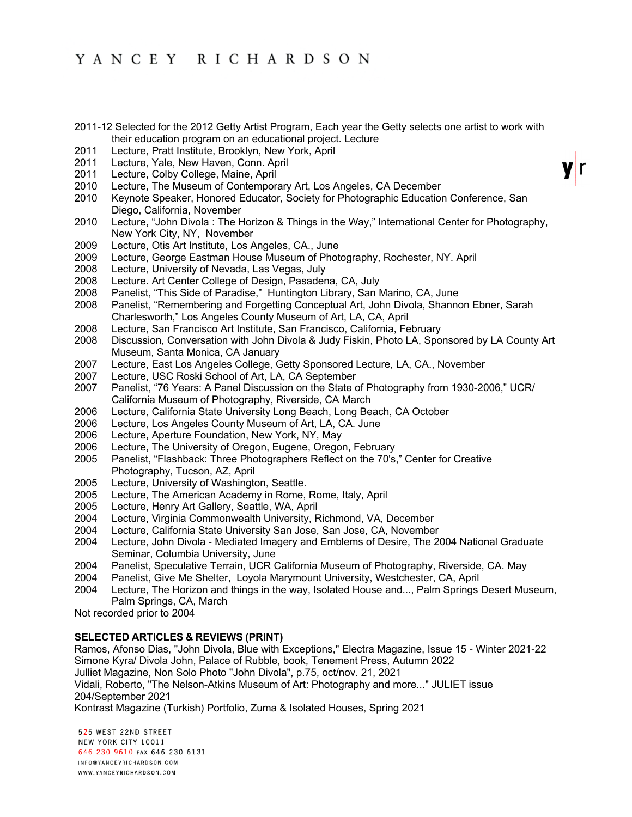- 2011-12 Selected for the 2012 Getty Artist Program, Each year the Getty selects one artist to work with their education program on an educational project. Lecture
- 2011 Lecture, Pratt Institute, Brooklyn, New York, April
- 2011 Lecture, Yale, New Haven, Conn. April
- 2011 Lecture, Colby College, Maine, April
- 2010 Lecture, The Museum of Contemporary Art, Los Angeles, CA December<br>2010 Keynote Speaker, Honored Educator, Society for Photographic Education
- Keynote Speaker, Honored Educator, Society for Photographic Education Conference, San Diego, California, November
- 2010 Lecture, "John Divola : The Horizon & Things in the Way," International Center for Photography, New York City, NY, November
- 2009 Lecture, Otis Art Institute, Los Angeles, CA., June
- 2009 Lecture, George Eastman House Museum of Photography, Rochester, NY. April
- 2008 Lecture, University of Nevada, Las Vegas, July
- 2008 Lecture. Art Center College of Design, Pasadena, CA, July
- 2008 Panelist, "This Side of Paradise," Huntington Library, San Marino, CA, June
- 2008 Panelist, "Remembering and Forgetting Conceptual Art, John Divola, Shannon Ebner, Sarah Charlesworth," Los Angeles County Museum of Art, LA, CA, April
- 2008 Lecture, San Francisco Art Institute, San Francisco, California, February
- 2008 Discussion, Conversation with John Divola & Judy Fiskin, Photo LA, Sponsored by LA County Art Museum, Santa Monica, CA January
- 2007 Lecture, East Los Angeles College, Getty Sponsored Lecture, LA, CA., November
- 2007 Lecture, USC Roski School of Art, LA, CA September
- 2007 Panelist, "76 Years: A Panel Discussion on the State of Photography from 1930-2006," UCR/ California Museum of Photography, Riverside, CA March
- 2006 Lecture, California State University Long Beach, Long Beach, CA October
- 2006 Lecture, Los Angeles County Museum of Art, LA, CA. June
- 2006 Lecture, Aperture Foundation, New York, NY, May
- 2006 Lecture, The University of Oregon, Eugene, Oregon, February
- Panelist, "Flashback: Three Photographers Reflect on the 70's," Center for Creative Photography, Tucson, AZ, April
- 2005 Lecture, University of Washington, Seattle.
- 2005 Lecture, The American Academy in Rome, Rome, Italy, April
- 2005 Lecture, Henry Art Gallery, Seattle, WA, April
- 2004 Lecture, Virginia Commonwealth University, Richmond, VA, December
- 2004 Lecture, California State University San Jose, San Jose, CA, November
- 2004 Lecture, John Divola Mediated Imagery and Emblems of Desire, The 2004 National Graduate Seminar, Columbia University, June
- 2004 Panelist, Speculative Terrain, UCR California Museum of Photography, Riverside, CA. May
- 2004 Panelist, Give Me Shelter, Loyola Marymount University, Westchester, CA, April
- 2004 Lecture, The Horizon and things in the way, Isolated House and..., Palm Springs Desert Museum, Palm Springs, CA, March
- Not recorded prior to 2004

#### **SELECTED ARTICLES & REVIEWS (PRINT)**

Ramos, Afonso Dias, "John Divola, Blue with Exceptions," Electra Magazine, Issue 15 - Winter 2021-22 Simone Kyra/ Divola John, Palace of Rubble, book, Tenement Press, Autumn 2022 Julliet Magazine, Non Solo Photo "John Divola", p.75, oct/nov. 21, 2021 Vidali, Roberto, "The Nelson-Atkins Museum of Art: Photography and more..." JULIET issue 204/September 2021 Kontrast Magazine (Turkish) Portfolio, Zuma & Isolated Houses, Spring 2021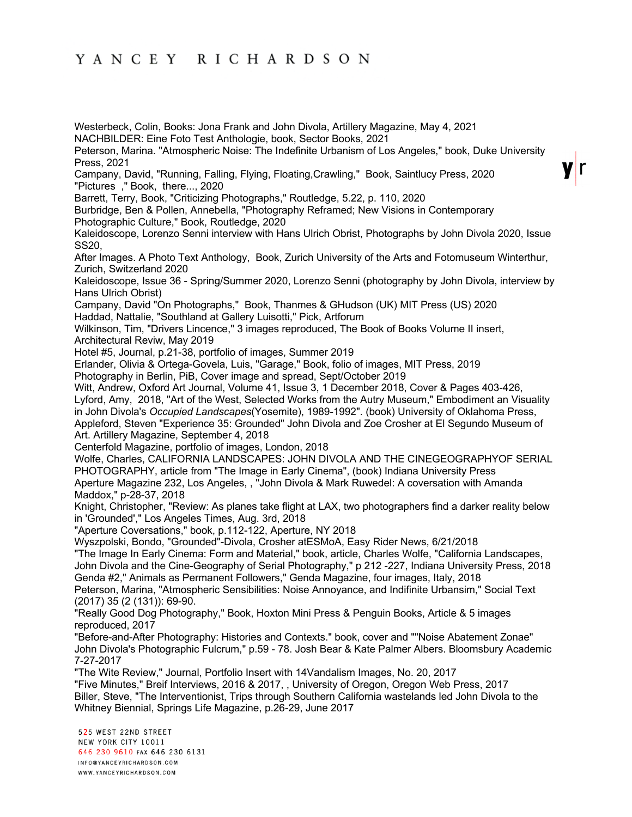Westerbeck, Colin, Books: Jona Frank and John Divola, Artillery Magazine, May 4, 2021 NACHBILDER: Eine Foto Test Anthologie, book, Sector Books, 2021 Peterson, Marina. "Atmospheric Noise: The Indefinite Urbanism of Los Angeles," book, Duke University Press, 2021 Campany, David, "Running, Falling, Flying, Floating,Crawling," Book, Saintlucy Press, 2020 "Pictures ," Book, there..., 2020 Barrett, Terry, Book, "Criticizing Photographs," Routledge, 5.22, p. 110, 2020 Burbridge, Ben & Pollen, Annebella, "Photography Reframed; New Visions in Contemporary Photographic Culture," Book, Routledge, 2020 Kaleidoscope, Lorenzo Senni interview with Hans Ulrich Obrist, Photographs by John Divola 2020, Issue SS20, After Images. A Photo Text Anthology, Book, Zurich University of the Arts and Fotomuseum Winterthur, Zurich, Switzerland 2020 Kaleidoscope, Issue 36 - Spring/Summer 2020, Lorenzo Senni (photography by John Divola, interview by Hans Ulrich Obrist) Campany, David "On Photographs," Book, Thanmes & GHudson (UK) MIT Press (US) 2020 Haddad, Nattalie, "Southland at Gallery Luisotti," Pick, Artforum Wilkinson, Tim, "Drivers Lincence," 3 images reproduced, The Book of Books Volume II insert, Architectural Reviw, May 2019 Hotel #5, Journal, p.21-38, portfolio of images, Summer 2019 Erlander, Olivia & Ortega-Govela, Luis, "Garage," Book, folio of images, MIT Press, 2019 Photography in Berlin, PiB, Cover image and spread, Sept/October 2019 Witt, Andrew, Oxford Art Journal, Volume 41, Issue 3, 1 December 2018, Cover & Pages 403-426, Lyford, Amy, 2018, "Art of the West, Selected Works from the Autry Museum," Embodiment an Visuality in John Divola's *Occupied Landscapes*(Yosemite), 1989-1992". (book) University of Oklahoma Press, Appleford, Steven "Experience 35: Grounded" John Divola and Zoe Crosher at El Segundo Museum of Art. Artillery Magazine, September 4, 2018 Centerfold Magazine, portfolio of images, London, 2018 Wolfe, Charles, CALIFORNIA LANDSCAPES: JOHN DIVOLA AND THE CINEGEOGRAPHYOF SERIAL PHOTOGRAPHY, article from "The Image in Early Cinema", (book) Indiana University Press Aperture Magazine 232, Los Angeles, , "John Divola & Mark Ruwedel: A coversation with Amanda Maddox," p-28-37, 2018 Knight, Christopher, "Review: As planes take flight at LAX, two photographers find a darker reality below in 'Grounded'," Los Angeles Times, Aug. 3rd, 2018 "Aperture Coversations," book, p.112-122, Aperture, NY 2018 Wyszpolski, Bondo, "Grounded"-Divola, Crosher atESMoA, Easy Rider News, 6/21/2018 "The Image In Early Cinema: Form and Material," book, article, Charles Wolfe, "California Landscapes, John Divola and the Cine-Geography of Serial Photography," p 212 -227, Indiana University Press, 2018 Genda #2," Animals as Permanent Followers," Genda Magazine, four images, Italy, 2018 Peterson, Marina, "Atmospheric Sensibilities: Noise Annoyance, and Indifinite Urbansim," Social Text (2017) 35 (2 (131)): 69-90. "Really Good Dog Photography," Book, Hoxton Mini Press & Penguin Books, Article & 5 images reproduced, 2017 "Before-and-After Photography: Histories and Contexts." book, cover and ""Noise Abatement Zonae" John Divola's Photographic Fulcrum," p.59 - 78. Josh Bear & Kate Palmer Albers. Bloomsbury Academic 7-27-2017 "The Wite Review," Journal, Portfolio Insert with 14Vandalism Images, No. 20, 2017 "Five Minutes," Breif Interviews, 2016 & 2017, , University of Oregon, Oregon Web Press, 2017 Biller, Steve, "The Interventionist, Trips through Southern California wastelands led John Divola to the Whitney Biennial, Springs Life Magazine, p.26-29, June 2017525 WEST 22ND STREET

r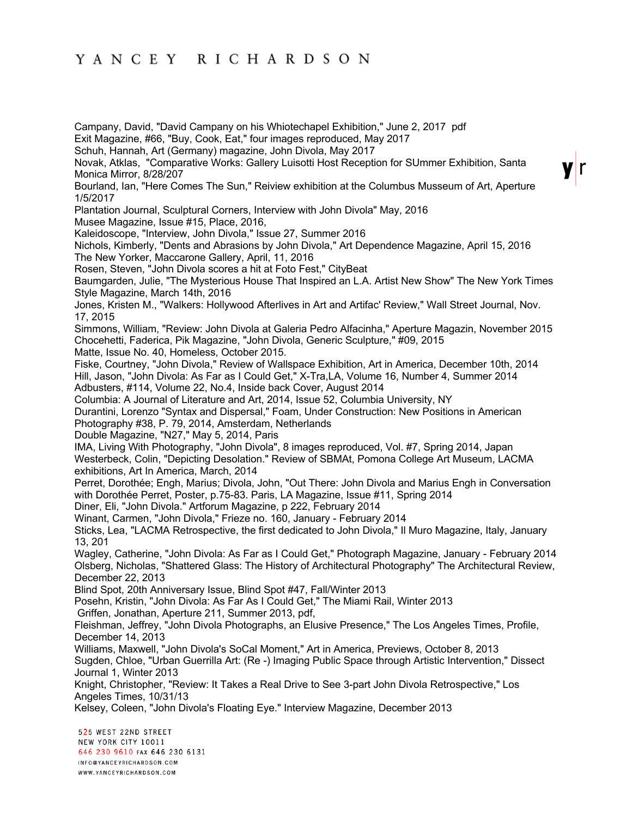Campany, David, "David Campany on his Whiotechapel Exhibition," June 2, 2017 pdf Exit Magazine, #66, "Buy, Cook, Eat," four images reproduced, May 2017 Schuh, Hannah, Art (Germany) magazine, John Divola, May 2017 Novak, Atklas, "Comparative Works: Gallery Luisotti Host Reception for SUmmer Exhibition, Santa Monica Mirror, 8/28/207 Bourland, Ian, "Here Comes The Sun," Reiview exhibition at the Columbus Musseum of Art, Aperture 1/5/2017 Plantation Journal, Sculptural Corners, Interview with John Divola" May, 2016 Musee Magazine, Issue #15, Place, 2016, Kaleidoscope, "Interview, John Divola," Issue 27, Summer 2016 Nichols, Kimberly, "Dents and Abrasions by John Divola," Art Dependence Magazine, April 15, 2016 The New Yorker, Maccarone Gallery, April, 11, 2016 Rosen, Steven, "John Divola scores a hit at Foto Fest," CityBeat Baumgarden, Julie, "The Mysterious House That Inspired an L.A. Artist New Show" The New York Times Style Magazine, March 14th, 2016 Jones, Kristen M., "Walkers: Hollywood Afterlives in Art and Artifac' Review," Wall Street Journal, Nov. 17, 2015 Simmons, William, "Review: John Divola at Galeria Pedro Alfacinha," Aperture Magazin, November 2015 Chocehetti, Faderica, Pik Magazine, "John Divola, Generic Sculpture," #09, 2015 Matte, Issue No. 40, Homeless, October 2015. Fiske, Courtney, "John Divola," Review of Wallspace Exhibition, Art in America, December 10th, 2014 Hill, Jason, "John Divola: As Far as I Could Get," X-Tra,LA, Volume 16, Number 4, Summer 2014 Adbusters, #114, Volume 22, No.4, Inside back Cover, August 2014 Columbia: A Journal of Literature and Art, 2014, Issue 52, Columbia University, NY Durantini, Lorenzo "Syntax and Dispersal," Foam, Under Construction: New Positions in American Photography #38, P. 79, 2014, Amsterdam, Netherlands Double Magazine, "N27," May 5, 2014, Paris IMA, Living With Photography, "John Divola", 8 images reproduced, Vol. #7, Spring 2014, Japan Westerbeck, Colin, "Depicting Desolation." Review of SBMAt, Pomona College Art Museum, LACMA exhibitions, Art In America, March, 2014 Perret, Dorothée; Engh, Marius; Divola, John, "Out There: John Divola and Marius Engh in Conversation with Dorothée Perret, Poster, p.75-83. Paris, LA Magazine, Issue #11, Spring 2014 Diner, Eli, "John Divola." Artforum Magazine, p 222, February 2014 Winant, Carmen, "John Divola," Frieze no. 160, January - February 2014 Sticks, Lea, "LACMA Retrospective, the first dedicated to John Divola," Il Muro Magazine, Italy, January 13, 201 Wagley, Catherine, "John Divola: As Far as I Could Get," Photograph Magazine, January - February 2014 Olsberg, Nicholas, "Shattered Glass: The History of Architectural Photography" The Architectural Review, December 22, 2013 Blind Spot, 20th Anniversary Issue, Blind Spot #47, Fall/Winter 2013 Posehn, Kristin, "John Divola: As Far As I Could Get," The Miami Rail, Winter 2013 Griffen, Jonathan, Aperture 211, Summer 2013, pdf, Fleishman, Jeffrey, "John Divola Photographs, an Elusive Presence," The Los Angeles Times, Profile, December 14, 2013 Williams, Maxwell, "John Divola's SoCal Moment," Art in America, Previews, October 8, 2013 Sugden, Chloe, "Urban Guerrilla Art: (Re -) Imaging Public Space through Artistic Intervention," Dissect Journal 1, Winter 2013 Knight, Christopher, "Review: It Takes a Real Drive to See 3-part John Divola Retrospective," Los Angeles Times, 10/31/13 Kelsey, Coleen, "John Divola's Floating Eye." Interview Magazine, December 2013 525 WEST 22ND STREET

r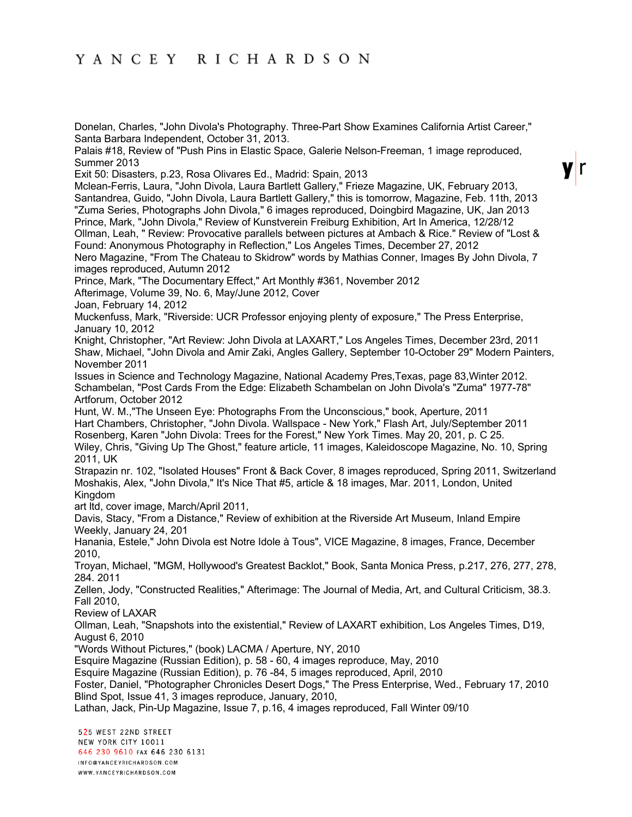Donelan, Charles, "John Divola's Photography. Three-Part Show Examines California Artist Career," Santa Barbara Independent, October 31, 2013.

Palais #18, Review of "Push Pins in Elastic Space, Galerie Nelson-Freeman, 1 image reproduced, Summer 2013

Exit 50: Disasters, p.23, Rosa Olivares Ed., Madrid: Spain, 2013

Mclean-Ferris, Laura, "John Divola, Laura Bartlett Gallery," Frieze Magazine, UK, February 2013, Santandrea, Guido, "John Divola, Laura Bartlett Gallery," this is tomorrow, Magazine, Feb. 11th, 2013 "Zuma Series, Photographs John Divola," 6 images reproduced, Doingbird Magazine, UK, Jan 2013 Prince, Mark, "John Divola," Review of Kunstverein Freiburg Exhibition, Art In America, 12/28/12 Ollman, Leah, " Review: Provocative parallels between pictures at Ambach & Rice." Review of "Lost & Found: Anonymous Photography in Reflection," Los Angeles Times, December 27, 2012 Nero Magazine, "From The Chateau to Skidrow" words by Mathias Conner, Images By John Divola, 7

images reproduced, Autumn 2012

Prince, Mark, "The Documentary Effect," Art Monthly #361, November 2012

Afterimage, Volume 39, No. 6, May/June 2012, Cover

Joan, February 14, 2012

Muckenfuss, Mark, "Riverside: UCR Professor enjoying plenty of exposure," The Press Enterprise, January 10, 2012

Knight, Christopher, "Art Review: John Divola at LAXART," Los Angeles Times, December 23rd, 2011 Shaw, Michael, "John Divola and Amir Zaki, Angles Gallery, September 10-October 29" Modern Painters, November 2011

Issues in Science and Technology Magazine, National Academy Pres,Texas, page 83,Winter 2012. Schambelan, "Post Cards From the Edge: Elizabeth Schambelan on John Divola's "Zuma" 1977-78" Artforum, October 2012

Hunt, W. M.,"The Unseen Eye: Photographs From the Unconscious," book, Aperture, 2011 Hart Chambers, Christopher, "John Divola. Wallspace - New York," Flash Art, July/September 2011 Rosenberg, Karen "John Divola: Trees for the Forest," New York Times. May 20, 201, p. C 25.

Wiley, Chris, "Giving Up The Ghost," feature article, 11 images, Kaleidoscope Magazine, No. 10, Spring 2011, UK

Strapazin nr. 102, "Isolated Houses" Front & Back Cover, 8 images reproduced, Spring 2011, Switzerland Moshakis, Alex, "John Divola," It's Nice That #5, article & 18 images, Mar. 2011, London, United Kingdom

art ltd, cover image, March/April 2011,

Davis, Stacy, "From a Distance," Review of exhibition at the Riverside Art Museum, Inland Empire Weekly, January 24, 201

Hanania, Estele," John Divola est Notre Idole à Tous", VICE Magazine, 8 images, France, December 2010,

Troyan, Michael, "MGM, Hollywood's Greatest Backlot," Book, Santa Monica Press, p.217, 276, 277, 278, 284. 2011

Zellen, Jody, "Constructed Realities," Afterimage: The Journal of Media, Art, and Cultural Criticism, 38.3. Fall 2010,

Review of LAXAR

Ollman, Leah, "Snapshots into the existential," Review of LAXART exhibition, Los Angeles Times, D19, August 6, 2010

"Words Without Pictures," (book) LACMA / Aperture, NY, 2010

Esquire Magazine (Russian Edition), p. 58 - 60, 4 images reproduce, May, 2010

Esquire Magazine (Russian Edition), p. 76 -84, 5 images reproduced, April, 2010

Foster, Daniel, "Photographer Chronicles Desert Dogs," The Press Enterprise, Wed., February 17, 2010 Blind Spot, Issue 41, 3 images reproduce, January, 2010,

Lathan, Jack, Pin-Up Magazine, Issue 7, p.16, 4 images reproduced, Fall Winter 09/10

525 WEST 22ND STREET NEW YORK CITY 10011 646 230 9610 FAX 646 230 6131 INFO@YANCEYRICHARDSON.COM WWW.YANCEYRICHARDSON.COM

r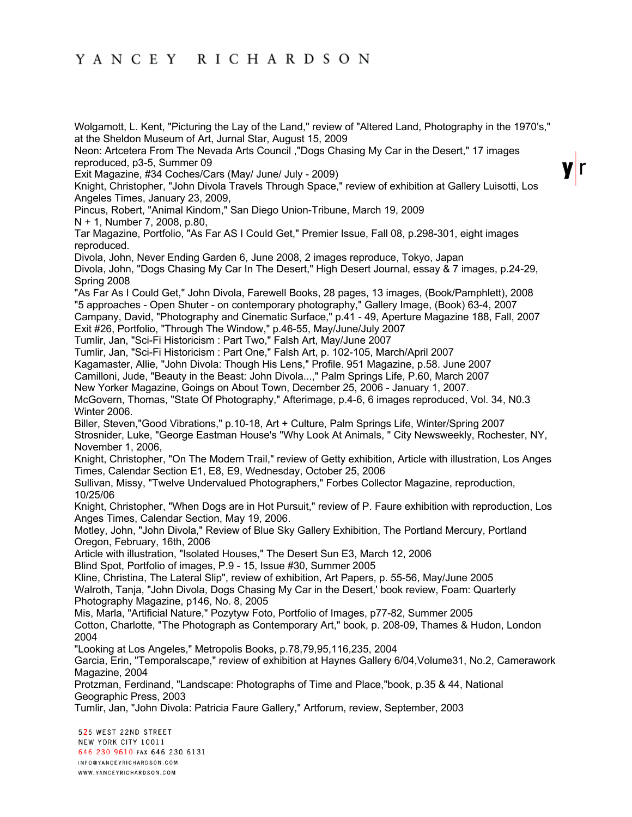Wolgamott, L. Kent, "Picturing the Lay of the Land," review of "Altered Land, Photography in the 1970's," at the Sheldon Museum of Art, Jurnal Star, August 15, 2009 Neon: Artcetera From The Nevada Arts Council ,"Dogs Chasing My Car in the Desert," 17 images reproduced, p3-5, Summer 09 Exit Magazine, #34 Coches/Cars (May/ June/ July - 2009) Knight, Christopher, "John Divola Travels Through Space," review of exhibition at Gallery Luisotti, Los Angeles Times, January 23, 2009, Pincus, Robert, "Animal Kindom," San Diego Union-Tribune, March 19, 2009 N + 1, Number 7, 2008, p.80, Tar Magazine, Portfolio, "As Far AS I Could Get," Premier Issue, Fall 08, p.298-301, eight images reproduced. Divola, John, Never Ending Garden 6, June 2008, 2 images reproduce, Tokyo, Japan Divola, John, "Dogs Chasing My Car In The Desert," High Desert Journal, essay & 7 images, p.24-29, Spring 2008 "As Far As I Could Get," John Divola, Farewell Books, 28 pages, 13 images, (Book/Pamphlett), 2008 "5 approaches - Open Shuter - on contemporary photography," Gallery Image, (Book) 63-4, 2007 Campany, David, "Photography and Cinematic Surface," p.41 - 49, Aperture Magazine 188, Fall, 2007 Exit #26, Portfolio, "Through The Window," p.46-55, May/June/July 2007 Tumlir, Jan, "Sci-Fi Historicism : Part Two," Falsh Art, May/June 2007 Tumlir, Jan, "Sci-Fi Historicism : Part One," Falsh Art, p. 102-105, March/April 2007 Kagamaster, Allie, "John Divola: Though His Lens," Profile. 951 Magazine, p.58. June 2007 Camilloni, Jude, "Beauty in the Beast: John Divola...," Palm Springs Life, P.60, March 2007 New Yorker Magazine, Goings on About Town, December 25, 2006 - January 1, 2007. McGovern, Thomas, "State Of Photography," Afterimage, p.4-6, 6 images reproduced, Vol. 34, N0.3 Winter 2006. Biller, Steven,"Good Vibrations," p.10-18, Art + Culture, Palm Springs Life, Winter/Spring 2007 Strosnider, Luke, "George Eastman House's "Why Look At Animals, " City Newsweekly, Rochester, NY, November 1, 2006, Knight, Christopher, "On The Modern Trail," review of Getty exhibition, Article with illustration, Los Anges Times, Calendar Section E1, E8, E9, Wednesday, October 25, 2006 Sullivan, Missy, "Twelve Undervalued Photographers," Forbes Collector Magazine, reproduction, 10/25/06 Knight, Christopher, "When Dogs are in Hot Pursuit," review of P. Faure exhibition with reproduction, Los Anges Times, Calendar Section, May 19, 2006. Motley, John, "John Divola," Review of Blue Sky Gallery Exhibition, The Portland Mercury, Portland Oregon, February, 16th, 2006 Article with illustration, "Isolated Houses," The Desert Sun E3, March 12, 2006 Blind Spot, Portfolio of images, P.9 - 15, Issue #30, Summer 2005 Kline, Christina, The Lateral Slip", review of exhibition, Art Papers, p. 55-56, May/June 2005 Walroth, Tanja, "John Divola, Dogs Chasing My Car in the Desert,' book review, Foam: Quarterly Photography Magazine, p146, No. 8, 2005 Mis, Marla, "Artificial Nature," Pozytyw Foto, Portfolio of Images, p77-82, Summer 2005 Cotton, Charlotte, "The Photograph as Contemporary Art," book, p. 208-09, Thames & Hudon, London 2004 "Looking at Los Angeles," Metropolis Books, p.78,79,95,116,235, 2004 Garcia, Erin, "Temporalscape," review of exhibition at Haynes Gallery 6/04,Volume31, No.2, Camerawork Magazine, 2004 Protzman, Ferdinand, "Landscape: Photographs of Time and Place,"book, p.35 & 44, National Geographic Press, 2003 Tumlir, Jan, "John Divola: Patricia Faure Gallery," Artforum, review, September, 2003525 WEST 22ND STREET NEW YORK CITY 10011

r

646 230 9610 FAX 646 230 6131 INFO@YANCEYRICHARDSON.COM WWW.YANCEYRICHARDSON.COM